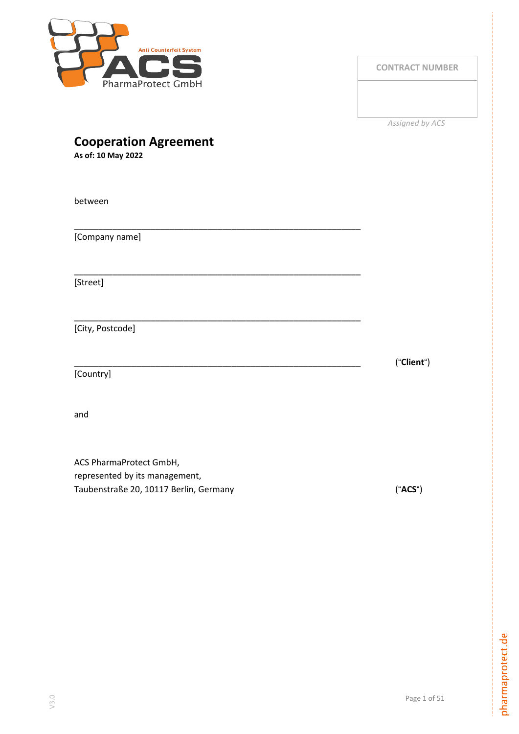

**CONTRACT NUMBER**

*Assigned by ACS*

|  | <b>Cooperation Agreement</b> |
|--|------------------------------|
|--|------------------------------|

**As of: 10 May 2022**

| between                 |            |
|-------------------------|------------|
| [Company name]          |            |
| [Street]                |            |
| [City, Postcode]        |            |
| [Country]               | ("Client") |
| and                     |            |
| ACS PharmaProtect GmbH, |            |

represented by its management, Taubenstraße 20, 10117 Berlin, Germany ("**ACS**")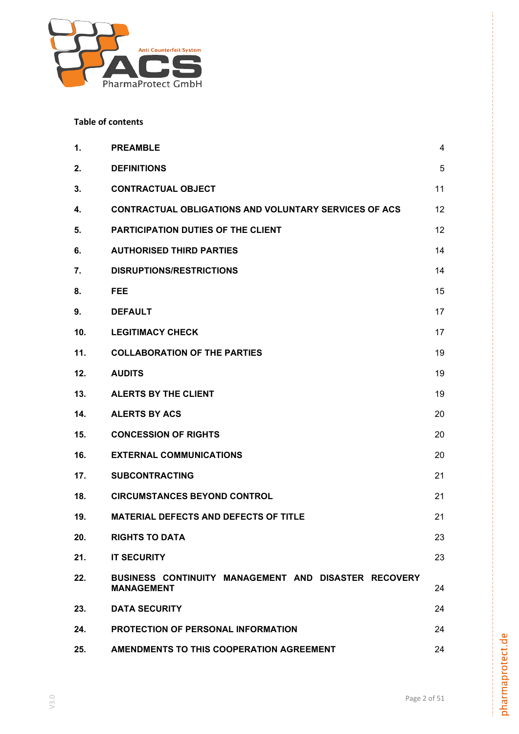

# **Table of contents**

| 1.  | <b>PREAMBLE</b>                                                           | 4  |
|-----|---------------------------------------------------------------------------|----|
| 2.  | <b>DEFINITIONS</b>                                                        | 5  |
| 3.  | <b>CONTRACTUAL OBJECT</b>                                                 | 11 |
| 4.  | <b>CONTRACTUAL OBLIGATIONS AND VOLUNTARY SERVICES OF ACS</b>              | 12 |
| 5.  | <b>PARTICIPATION DUTIES OF THE CLIENT</b>                                 | 12 |
| 6.  | <b>AUTHORISED THIRD PARTIES</b>                                           | 14 |
| 7.  | <b>DISRUPTIONS/RESTRICTIONS</b>                                           | 14 |
| 8.  | FEE                                                                       | 15 |
| 9.  | <b>DEFAULT</b>                                                            | 17 |
| 10. | <b>LEGITIMACY CHECK</b>                                                   | 17 |
| 11. | <b>COLLABORATION OF THE PARTIES</b>                                       | 19 |
| 12. | <b>AUDITS</b>                                                             | 19 |
| 13. | <b>ALERTS BY THE CLIENT</b>                                               | 19 |
| 14. | <b>ALERTS BY ACS</b>                                                      | 20 |
| 15. | <b>CONCESSION OF RIGHTS</b>                                               | 20 |
| 16. | <b>EXTERNAL COMMUNICATIONS</b>                                            | 20 |
| 17. | <b>SUBCONTRACTING</b>                                                     | 21 |
| 18. | <b>CIRCUMSTANCES BEYOND CONTROL</b>                                       | 21 |
| 19. | <b>MATERIAL DEFECTS AND DEFECTS OF TITLE</b>                              | 21 |
| 20. | <b>RIGHTS TO DATA</b>                                                     | 23 |
| 21. | <b>IT SECURITY</b>                                                        | 23 |
| 22. | BUSINESS CONTINUITY MANAGEMENT AND DISASTER RECOVERY<br><b>MANAGEMENT</b> | 24 |
| 23. | <b>DATA SECURITY</b>                                                      | 24 |
| 24. | PROTECTION OF PERSONAL INFORMATION                                        | 24 |
| 25. | AMENDMENTS TO THIS COOPERATION AGREEMENT                                  | 24 |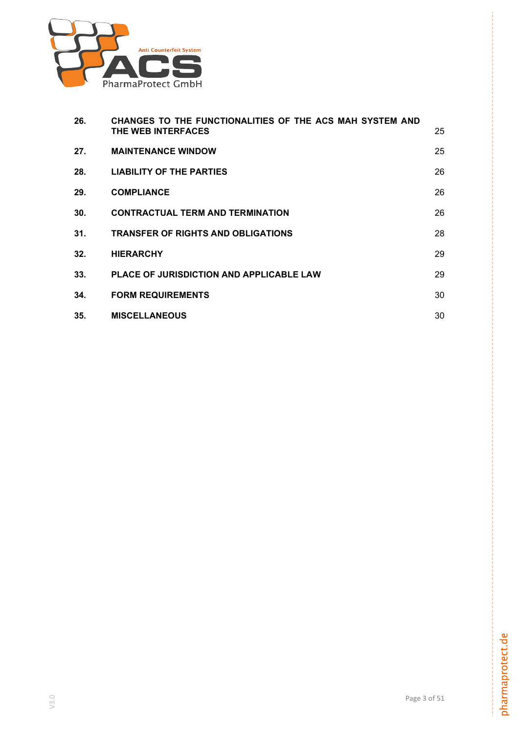

| 26. | CHANGES TO THE FUNCTIONALITIES OF THE ACS MAH SYSTEM AND<br>THE WEB INTERFACES | 25 |
|-----|--------------------------------------------------------------------------------|----|
| 27. | <b>MAINTENANCE WINDOW</b>                                                      | 25 |
| 28. | <b>LIABILITY OF THE PARTIES</b>                                                | 26 |
| 29. | <b>COMPLIANCE</b>                                                              | 26 |
| 30. | <b>CONTRACTUAL TERM AND TERMINATION</b>                                        | 26 |
| 31. | <b>TRANSFER OF RIGHTS AND OBLIGATIONS</b>                                      | 28 |
| 32. | <b>HIERARCHY</b>                                                               | 29 |
| 33. | <b>PLACE OF JURISDICTION AND APPLICABLE LAW</b>                                | 29 |
| 34. | <b>FORM REQUIREMENTS</b>                                                       | 30 |
| 35. | <b>MISCELLANEOUS</b>                                                           | 30 |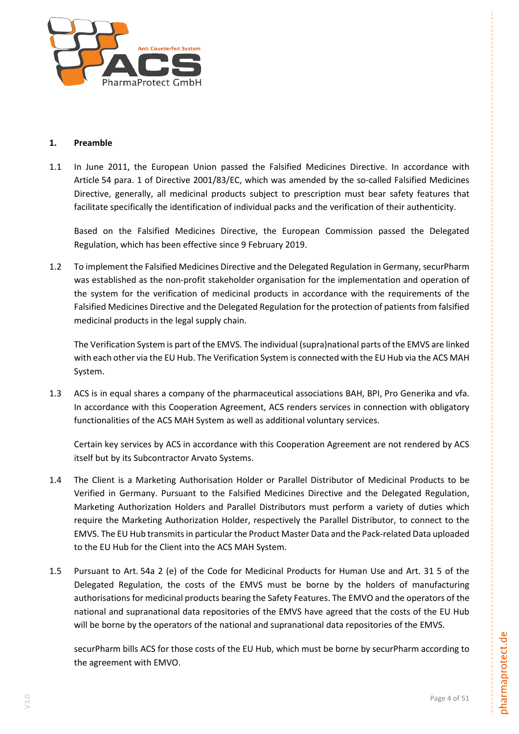

# <span id="page-3-0"></span>**1. Preamble**

1.1 In June 2011, the European Union passed the Falsified Medicines Directive. In accordance with Article 54 para. 1 of Directive 2001/83/EC, which was amended by the so-called Falsified Medicines Directive, generally, all medicinal products subject to prescription must bear safety features that facilitate specifically the identification of individual packs and the verification of their authenticity.

Based on the Falsified Medicines Directive, the European Commission passed the Delegated Regulation, which has been effective since 9 February 2019.

1.2 To implement the Falsified Medicines Directive and the Delegated Regulation in Germany, securPharm was established as the non-profit stakeholder organisation for the implementation and operation of the system for the verification of medicinal products in accordance with the requirements of the Falsified Medicines Directive and the Delegated Regulation for the protection of patients from falsified medicinal products in the legal supply chain.

The Verification System is part of the EMVS. The individual (supra)national parts of the EMVS are linked with each other via the EU Hub. The Verification System is connected with the EU Hub via the ACS MAH System.

1.3 ACS is in equal shares a company of the pharmaceutical associations BAH, BPI, Pro Generika and vfa. In accordance with this Cooperation Agreement, ACS renders services in connection with obligatory functionalities of the ACS MAH System as well as additional voluntary services.

Certain key services by ACS in accordance with this Cooperation Agreement are not rendered by ACS itself but by its Subcontractor Arvato Systems.

- 1.4 The Client is a Marketing Authorisation Holder or Parallel Distributor of Medicinal Products to be Verified in Germany. Pursuant to the Falsified Medicines Directive and the Delegated Regulation, Marketing Authorization Holders and Parallel Distributors must perform a variety of duties which require the Marketing Authorization Holder, respectively the Parallel Distributor, to connect to the EMVS. The EU Hub transmits in particular the Product Master Data and the Pack-related Data uploaded to the EU Hub for the Client into the ACS MAH System.
- 1.5 Pursuant to Art. 54a 2 (e) of the Code for Medicinal Products for Human Use and Art. 31 5 of the Delegated Regulation, the costs of the EMVS must be borne by the holders of manufacturing authorisations for medicinal products bearing the Safety Features. The EMVO and the operators of the national and supranational data repositories of the EMVS have agreed that the costs of the EU Hub will be borne by the operators of the national and supranational data repositories of the EMVS.

securPharm bills ACS for those costs of the EU Hub, which must be borne by securPharm according to the agreement with EMVO.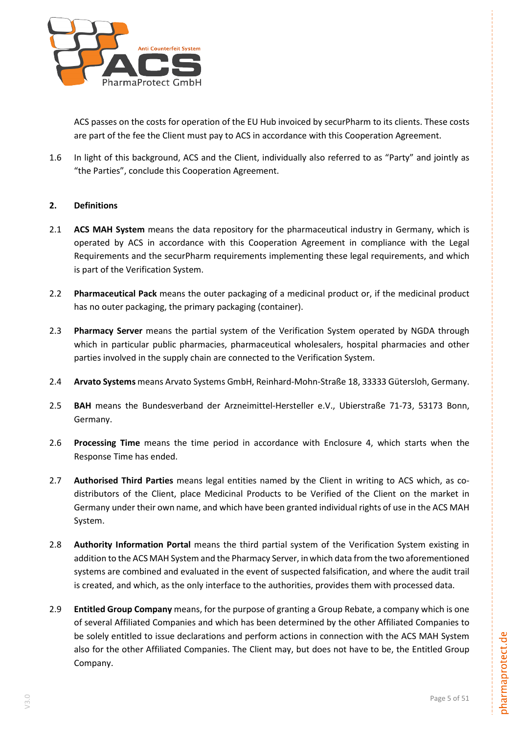

ACS passes on the costs for operation of the EU Hub invoiced by securPharm to its clients. These costs are part of the fee the Client must pay to ACS in accordance with this Cooperation Agreement.

1.6 In light of this background, ACS and the Client, individually also referred to as "Party" and jointly as "the Parties", conclude this Cooperation Agreement.

# <span id="page-4-0"></span>**2. Definitions**

- 2.1 **ACS MAH System** means the data repository for the pharmaceutical industry in Germany, which is operated by ACS in accordance with this Cooperation Agreement in compliance with the Legal Requirements and the securPharm requirements implementing these legal requirements, and which is part of the Verification System.
- 2.2 **Pharmaceutical Pack** means the outer packaging of a medicinal product or, if the medicinal product has no outer packaging, the primary packaging (container).
- <span id="page-4-1"></span>2.3 **Pharmacy Server** means the partial system of the Verification System operated by NGDA through which in particular public pharmacies, pharmaceutical wholesalers, hospital pharmacies and other parties involved in the supply chain are connected to the Verification System.
- 2.4 **Arvato Systems** means Arvato Systems GmbH, Reinhard-Mohn-Straße 18, 33333 Gütersloh, Germany.
- 2.5 **BAH** means the Bundesverband der Arzneimittel-Hersteller e.V., Ubierstraße 71-73, 53173 Bonn, Germany.
- 2.6 **Processing Time** means the time period in accordance with Enclosure 4, which starts when the Response Time has ended.
- 2.7 **Authorised Third Parties** means legal entities named by the Client in writing to ACS which, as codistributors of the Client, place Medicinal Products to be Verified of the Client on the market in Germany under their own name, and which have been granted individual rights of use in the ACS MAH System.
- 2.8 **Authority Information Portal** means the third partial system of the Verification System existing in addition to the ACS MAH System and the Pharmacy Server, in which data from the two aforementioned systems are combined and evaluated in the event of suspected falsification, and where the audit trail is created, and which, as the only interface to the authorities, provides them with processed data.
- 2.9 **Entitled Group Company** means, for the purpose of granting a Group Rebate, a company which is one of several Affiliated Companies and which has been determined by the other Affiliated Companies to be solely entitled to issue declarations and perform actions in connection with the ACS MAH System also for the other Affiliated Companies. The Client may, but does not have to be, the Entitled Group Company.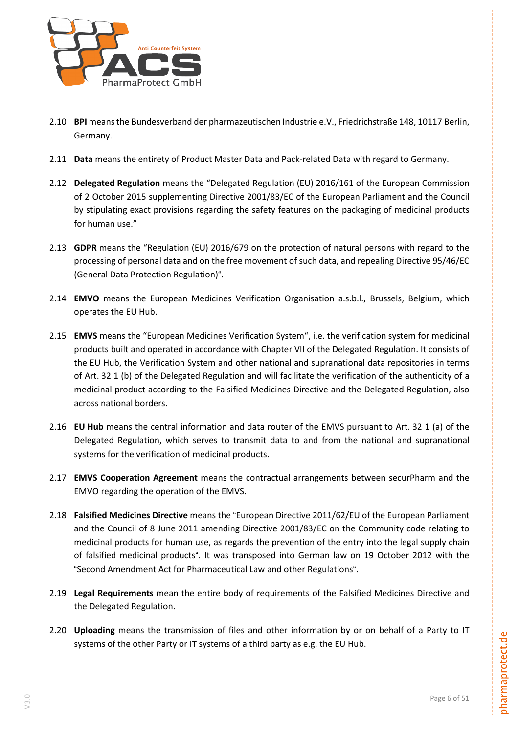

- 2.10 **BPI** meansthe Bundesverband der pharmazeutischen Industrie e.V., Friedrichstraße 148, 10117 Berlin, Germany.
- 2.11 **Data** means the entirety of Product Master Data and Pack-related Data with regard to Germany.
- 2.12 **Delegated Regulation** means the "Delegated Regulation (EU) 2016/161 of the European Commission of 2 October 2015 supplementing Directive 2001/83/EC of the European Parliament and the Council by stipulating exact provisions regarding the safety features on the packaging of medicinal products for human use."
- 2.13 **GDPR** means the "Regulation (EU) 2016/679 on the protection of natural persons with regard to the processing of personal data and on the free movement of such data, and repealing Directive 95/46/EC (General Data Protection Regulation)".
- 2.14 **EMVO** means the European Medicines Verification Organisation a.s.b.l., Brussels, Belgium, which operates the EU Hub.
- 2.15 **EMVS** means the "European Medicines Verification System", i.e. the verification system for medicinal products built and operated in accordance with Chapter VII of the Delegated Regulation. It consists of the EU Hub, the Verification System and other national and supranational data repositories in terms of Art. 32 1 (b) of the Delegated Regulation and will facilitate the verification of the authenticity of a medicinal product according to the Falsified Medicines Directive and the Delegated Regulation, also across national borders.
- 2.16 **EU Hub** means the central information and data router of the EMVS pursuant to Art. 32 1 (a) of the Delegated Regulation, which serves to transmit data to and from the national and supranational systems for the verification of medicinal products.
- 2.17 **EMVS Cooperation Agreement** means the contractual arrangements between securPharm and the EMVO regarding the operation of the EMVS.
- 2.18 **Falsified Medicines Directive** means the "European Directive 2011/62/EU of the European Parliament and the Council of 8 June 2011 amending Directive 2001/83/EC on the Community code relating to medicinal products for human use, as regards the prevention of the entry into the legal supply chain of falsified medicinal products". It was transposed into German law on 19 October 2012 with the "Second Amendment Act for Pharmaceutical Law and other Regulations".
- 2.19 **Legal Requirements** mean the entire body of requirements of the Falsified Medicines Directive and the Delegated Regulation.
- 2.20 **Uploading** means the transmission of files and other information by or on behalf of a Party to IT systems of the other Party or IT systems of a third party as e.g. the EU Hub.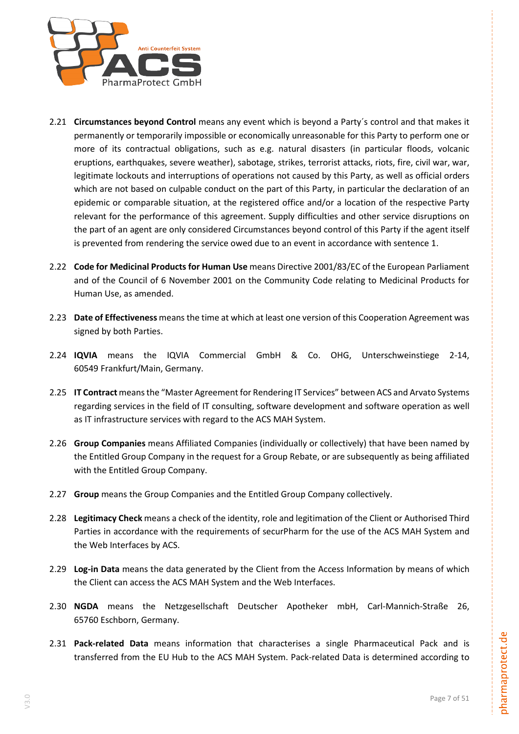

- 2.21 **Circumstances beyond Control** means any event which is beyond a Party´s control and that makes it permanently or temporarily impossible or economically unreasonable for this Party to perform one or more of its contractual obligations, such as e.g. natural disasters (in particular floods, volcanic eruptions, earthquakes, severe weather), sabotage, strikes, terrorist attacks, riots, fire, civil war, war, legitimate lockouts and interruptions of operations not caused by this Party, as well as official orders which are not based on culpable conduct on the part of this Party, in particular the declaration of an epidemic or comparable situation, at the registered office and/or a location of the respective Party relevant for the performance of this agreement. Supply difficulties and other service disruptions on the part of an agent are only considered Circumstances beyond control of this Party if the agent itself is prevented from rendering the service owed due to an event in accordance with sentence 1.
- 2.22 **Code for Medicinal Products for Human Use** means Directive 2001/83/EC of the European Parliament and of the Council of 6 November 2001 on the Community Code relating to Medicinal Products for Human Use, as amended.
- 2.23 **Date of Effectiveness** means the time at which at least one version of this Cooperation Agreement was signed by both Parties.
- 2.24 **IQVIA** means the IQVIA Commercial GmbH & Co. OHG, Unterschweinstiege 2-14, 60549 Frankfurt/Main, Germany.
- 2.25 **IT Contract** meansthe "Master Agreement for Rendering IT Services" between ACS and Arvato Systems regarding services in the field of IT consulting, software development and software operation as well as IT infrastructure services with regard to the ACS MAH System.
- 2.26 **Group Companies** means Affiliated Companies (individually or collectively) that have been named by the Entitled Group Company in the request for a Group Rebate, or are subsequently as being affiliated with the Entitled Group Company.
- 2.27 **Group** means the Group Companies and the Entitled Group Company collectively.
- 2.28 **Legitimacy Check** means a check of the identity, role and legitimation of the Client or Authorised Third Parties in accordance with the requirements of securPharm for the use of the ACS MAH System and the Web Interfaces by ACS.
- 2.29 **Log-in Data** means the data generated by the Client from the Access Information by means of which the Client can access the ACS MAH System and the Web Interfaces.
- 2.30 **NGDA** means the Netzgesellschaft Deutscher Apotheker mbH, Carl-Mannich-Straße 26, 65760 Eschborn, Germany.
- 2.31 **Pack-related Data** means information that characterises a single Pharmaceutical Pack and is transferred from the EU Hub to the ACS MAH System. Pack-related Data is determined according to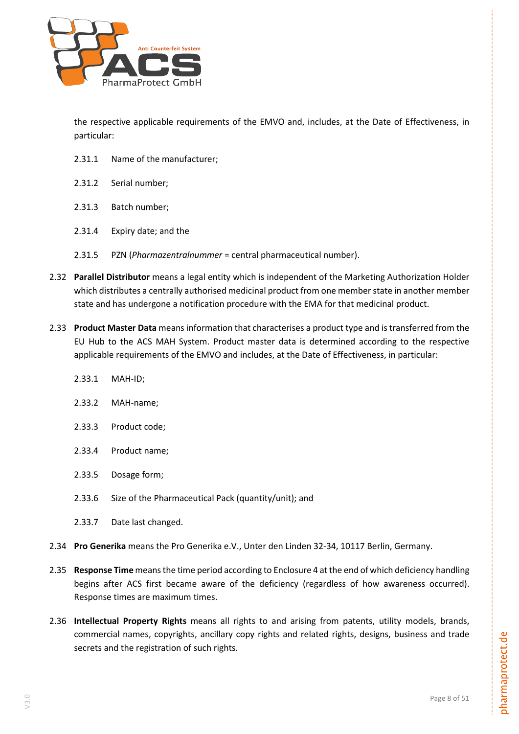

the respective applicable requirements of the EMVO and, includes, at the Date of Effectiveness, in particular:

- 2.31.1 Name of the manufacturer;
- 2.31.2 Serial number;
- 2.31.3 Batch number;
- 2.31.4 Expiry date; and the
- 2.31.5 PZN (*Pharmazentralnummer* = central pharmaceutical number).
- 2.32 **Parallel Distributor** means a legal entity which is independent of the Marketing Authorization Holder which distributes a centrally authorised medicinal product from one member state in another member state and has undergone a notification procedure with the EMA for that medicinal product.
- 2.33 **Product Master Data** means information that characterises a product type and is transferred from the EU Hub to the ACS MAH System. Product master data is determined according to the respective applicable requirements of the EMVO and includes, at the Date of Effectiveness, in particular:
	- 2.33.1 MAH-ID;
	- 2.33.2 MAH-name;
	- 2.33.3 Product code;
	- 2.33.4 Product name;
	- 2.33.5 Dosage form;
	- 2.33.6 Size of the Pharmaceutical Pack (quantity/unit); and
	- 2.33.7 Date last changed.
- 2.34 **Pro Generika** means the Pro Generika e.V., Unter den Linden 32-34, 10117 Berlin, Germany.
- 2.35 **Response Time** meansthe time period according to Enclosure 4 at the end of which deficiency handling begins after ACS first became aware of the deficiency (regardless of how awareness occurred). Response times are maximum times.
- 2.36 **Intellectual Property Rights** means all rights to and arising from patents, utility models, brands, commercial names, copyrights, ancillary copy rights and related rights, designs, business and trade secrets and the registration of such rights.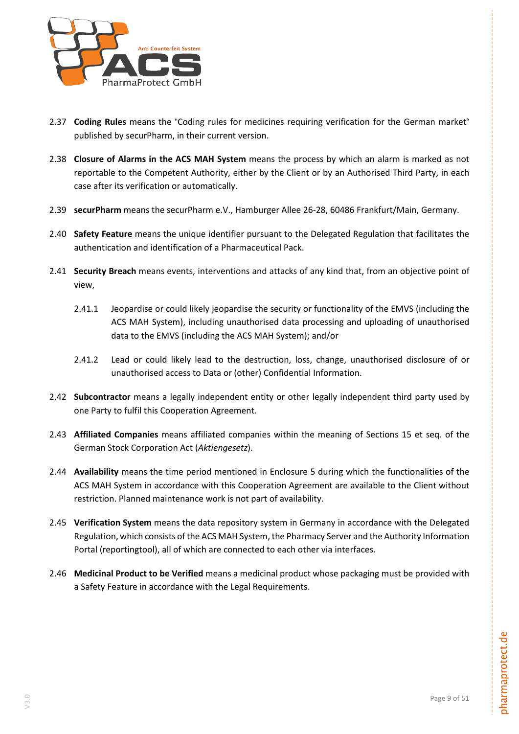

- 2.37 **Coding Rules** means the "Coding rules for medicines requiring verification for the German market" published by securPharm, in their current version.
- 2.38 **Closure of Alarms in the ACS MAH System** means the process by which an alarm is marked as not reportable to the Competent Authority, either by the Client or by an Authorised Third Party, in each case after its verification or automatically.
- 2.39 **securPharm** means the securPharm e.V., Hamburger Allee 26-28, 60486 Frankfurt/Main, Germany.
- 2.40 **Safety Feature** means the unique identifier pursuant to the Delegated Regulation that facilitates the authentication and identification of a Pharmaceutical Pack.
- 2.41 **Security Breach** means events, interventions and attacks of any kind that, from an objective point of view,
	- 2.41.1 Jeopardise or could likely jeopardise the security or functionality of the EMVS (including the ACS MAH System), including unauthorised data processing and uploading of unauthorised data to the EMVS (including the ACS MAH System); and/or
	- 2.41.2 Lead or could likely lead to the destruction, loss, change, unauthorised disclosure of or unauthorised access to Data or (other) Confidential Information.
- 2.42 **Subcontractor** means a legally independent entity or other legally independent third party used by one Party to fulfil this Cooperation Agreement.
- 2.43 **Affiliated Companies** means affiliated companies within the meaning of Sections 15 et seq. of the German Stock Corporation Act (*Aktiengesetz*).
- 2.44 **Availability** means the time period mentioned in Enclosure 5 during which the functionalities of the ACS MAH System in accordance with this Cooperation Agreement are available to the Client without restriction. Planned maintenance work is not part of availability.
- 2.45 **Verification System** means the data repository system in Germany in accordance with the Delegated Regulation, which consists of the ACS MAH System, the Pharmacy Server and the Authority Information Portal (reportingtool), all of which are connected to each other via interfaces.
- 2.46 **Medicinal Product to be Verified** means a medicinal product whose packaging must be provided with a Safety Feature in accordance with the Legal Requirements.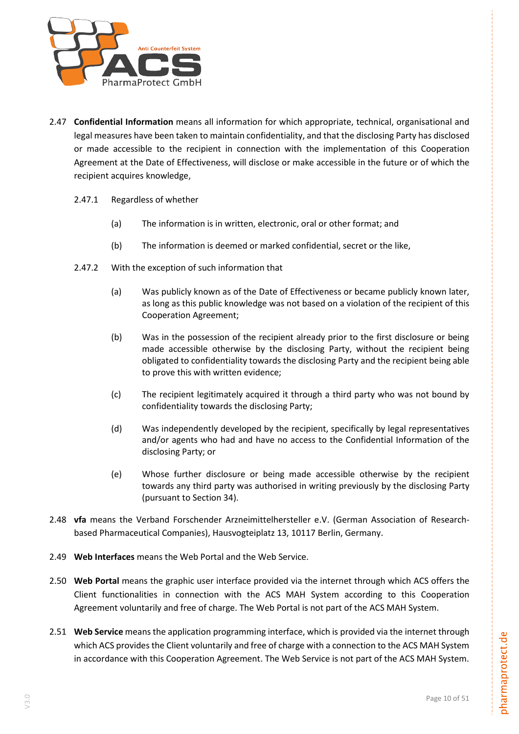

- 2.47 **Confidential Information** means all information for which appropriate, technical, organisational and legal measures have been taken to maintain confidentiality, and that the disclosing Party has disclosed or made accessible to the recipient in connection with the implementation of this Cooperation Agreement at the Date of Effectiveness, will disclose or make accessible in the future or of which the recipient acquires knowledge,
	- 2.47.1 Regardless of whether
		- (a) The information is in written, electronic, oral or other format; and
		- (b) The information is deemed or marked confidential, secret or the like,
	- 2.47.2 With the exception of such information that
		- (a) Was publicly known as of the Date of Effectiveness or became publicly known later, as long as this public knowledge was not based on a violation of the recipient of this Cooperation Agreement;
		- (b) Was in the possession of the recipient already prior to the first disclosure or being made accessible otherwise by the disclosing Party, without the recipient being obligated to confidentiality towards the disclosing Party and the recipient being able to prove this with written evidence;
		- (c) The recipient legitimately acquired it through a third party who was not bound by confidentiality towards the disclosing Party;
		- (d) Was independently developed by the recipient, specifically by legal representatives and/or agents who had and have no access to the Confidential Information of the disclosing Party; or
		- (e) Whose further disclosure or being made accessible otherwise by the recipient towards any third party was authorised in writing previously by the disclosing Party (pursuant to Section [34\)](#page-29-0).
- 2.48 **vfa** means the Verband Forschender Arzneimittelhersteller e.V. (German Association of Researchbased Pharmaceutical Companies), Hausvogteiplatz 13, 10117 Berlin, Germany.
- 2.49 **Web Interfaces** means the Web Portal and the Web Service.
- 2.50 **Web Portal** means the graphic user interface provided via the internet through which ACS offers the Client functionalities in connection with the ACS MAH System according to this Cooperation Agreement voluntarily and free of charge. The Web Portal is not part of the ACS MAH System.
- 2.51 **Web Service** means the application programming interface, which is provided via the internet through which ACS provides the Client voluntarily and free of charge with a connection to the ACS MAH System in accordance with this Cooperation Agreement. The Web Service is not part of the ACS MAH System.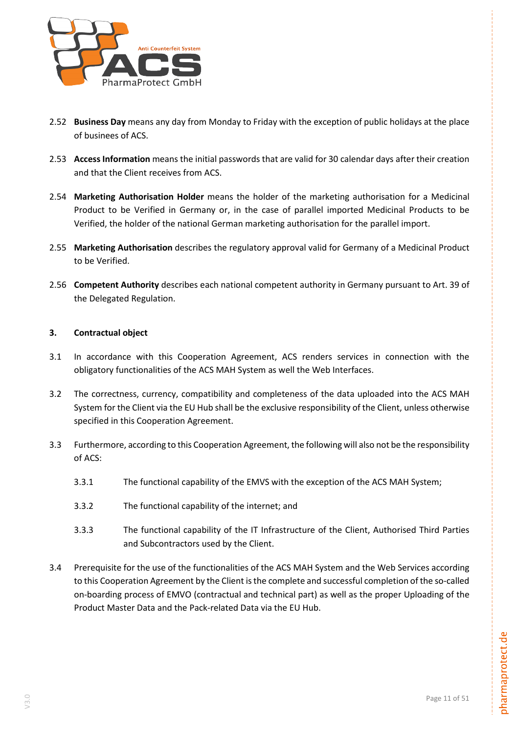

- 2.52 **Business Day** means any day from Monday to Friday with the exception of public holidays at the place of businees of ACS.
- 2.53 **Access Information** means the initial passwords that are valid for 30 calendar days after their creation and that the Client receives from ACS.
- 2.54 **Marketing Authorisation Holder** means the holder of the marketing authorisation for a Medicinal Product to be Verified in Germany or, in the case of parallel imported Medicinal Products to be Verified, the holder of the national German marketing authorisation for the parallel import.
- 2.55 **Marketing Authorisation** describes the regulatory approval valid for Germany of a Medicinal Product to be Verified.
- 2.56 **Competent Authority** describes each national competent authority in Germany pursuant to Art. 39 of the Delegated Regulation.

# <span id="page-10-0"></span>**3. Contractual object**

- 3.1 In accordance with this Cooperation Agreement, ACS renders services in connection with the obligatory functionalities of the ACS MAH System as well the Web Interfaces.
- 3.2 The correctness, currency, compatibility and completeness of the data uploaded into the ACS MAH System for the Client via the EU Hub shall be the exclusive responsibility of the Client, unless otherwise specified in this Cooperation Agreement.
- 3.3 Furthermore, according to this Cooperation Agreement, the following will also not be the responsibility of ACS:
	- 3.3.1 The functional capability of the EMVS with the exception of the ACS MAH System;
	- 3.3.2 The functional capability of the internet; and
	- 3.3.3 The functional capability of the IT Infrastructure of the Client, Authorised Third Parties and Subcontractors used by the Client.
- 3.4 Prerequisite for the use of the functionalities of the ACS MAH System and the Web Services according to this Cooperation Agreement by the Client is the complete and successful completion of the so-called on-boarding process of EMVO (contractual and technical part) as well as the proper Uploading of the Product Master Data and the Pack-related Data via the EU Hub.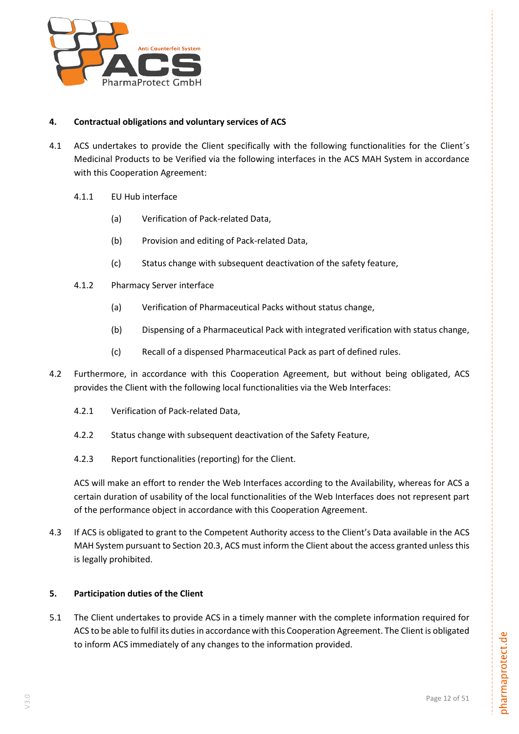

# <span id="page-11-0"></span>**4. Contractual obligations and voluntary services of ACS**

- 4.1 ACS undertakes to provide the Client specifically with the following functionalities for the Client's Medicinal Products to be Verified via the following interfaces in the ACS MAH System in accordance with this Cooperation Agreement:
	- 4.1.1 EU Hub interface
		- (a) Verification of Pack-related Data,
		- (b) Provision and editing of Pack-related Data,
		- (c) Status change with subsequent deactivation of the safety feature,
	- 4.1.2 Pharmacy Server interface
		- (a) Verification of Pharmaceutical Packs without status change,
		- (b) Dispensing of a Pharmaceutical Pack with integrated verification with status change,
		- (c) Recall of a dispensed Pharmaceutical Pack as part of defined rules.
- 4.2 Furthermore, in accordance with this Cooperation Agreement, but without being obligated, ACS provides the Client with the following local functionalities via the Web Interfaces:
	- 4.2.1 Verification of Pack-related Data,
	- 4.2.2 Status change with subsequent deactivation of the Safety Feature,
	- 4.2.3 Report functionalities (reporting) for the Client.

ACS will make an effort to render the Web Interfaces according to the Availability, whereas for ACS a certain duration of usability of the local functionalities of the Web Interfaces does not represent part of the performance object in accordance with this Cooperation Agreement.

4.3 If ACS is obligated to grant to the Competent Authority access to the Client's Data available in the ACS MAH System pursuant to Section [20.3,](#page-22-2) ACS must inform the Client about the access granted unless this is legally prohibited.

#### <span id="page-11-1"></span>**5. Participation duties of the Client**

5.1 The Client undertakes to provide ACS in a timely manner with the complete information required for ACS to be able to fulfil its duties in accordance with this Cooperation Agreement. The Client is obligated to inform ACS immediately of any changes to the information provided.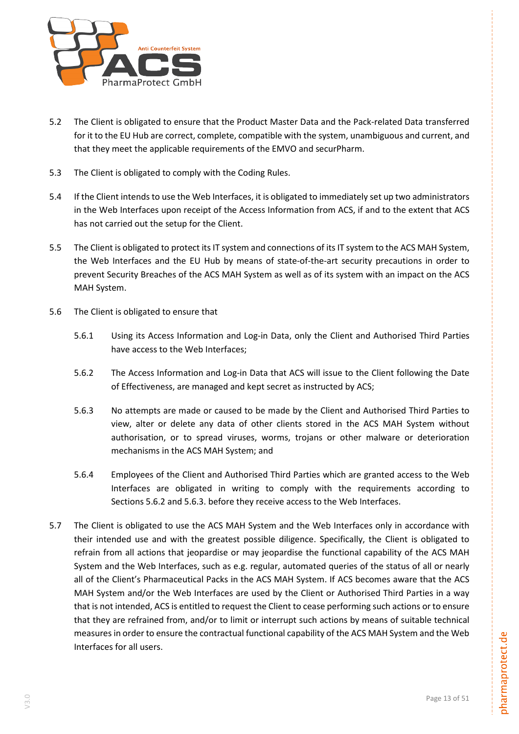

- 5.2 The Client is obligated to ensure that the Product Master Data and the Pack-related Data transferred for it to the EU Hub are correct, complete, compatible with the system, unambiguous and current, and that they meet the applicable requirements of the EMVO and securPharm.
- 5.3 The Client is obligated to comply with the Coding Rules.
- 5.4 If the Client intends to use the Web Interfaces, it is obligated to immediately set up two administrators in the Web Interfaces upon receipt of the Access Information from ACS, if and to the extent that ACS has not carried out the setup for the Client.
- 5.5 The Client is obligated to protect its IT system and connections of its IT system to the ACS MAH System, the Web Interfaces and the EU Hub by means of state-of-the-art security precautions in order to prevent Security Breaches of the ACS MAH System as well as of its system with an impact on the ACS MAH System.
- <span id="page-12-1"></span><span id="page-12-0"></span>5.6 The Client is obligated to ensure that
	- 5.6.1 Using its Access Information and Log-in Data, only the Client and Authorised Third Parties have access to the Web Interfaces;
	- 5.6.2 The Access Information and Log-in Data that ACS will issue to the Client following the Date of Effectiveness, are managed and kept secret as instructed by ACS;
	- 5.6.3 No attempts are made or caused to be made by the Client and Authorised Third Parties to view, alter or delete any data of other clients stored in the ACS MAH System without authorisation, or to spread viruses, worms, trojans or other malware or deterioration mechanisms in the ACS MAH System; and
	- 5.6.4 Employees of the Client and Authorised Third Parties which are granted access to the Web Interfaces are obligated in writing to comply with the requirements according to Sections [5.6.2](#page-12-0) an[d 5.6.3.](#page-12-1) before they receive access to the Web Interfaces.
- <span id="page-12-2"></span>5.7 The Client is obligated to use the ACS MAH System and the Web Interfaces only in accordance with their intended use and with the greatest possible diligence. Specifically, the Client is obligated to refrain from all actions that jeopardise or may jeopardise the functional capability of the ACS MAH System and the Web Interfaces, such as e.g. regular, automated queries of the status of all or nearly all of the Client's Pharmaceutical Packs in the ACS MAH System. If ACS becomes aware that the ACS MAH System and/or the Web Interfaces are used by the Client or Authorised Third Parties in a way that is not intended, ACS is entitled to request the Client to cease performing such actions or to ensure that they are refrained from, and/or to limit or interrupt such actions by means of suitable technical measures in order to ensure the contractual functional capability of the ACS MAH System and the Web Interfaces for all users.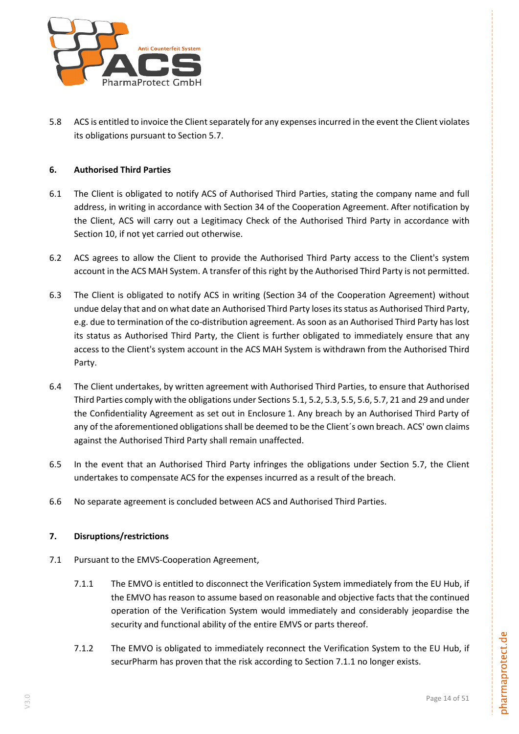

5.8 ACS is entitled to invoice the Client separately for any expenses incurred in the event the Client violates its obligations pursuant to Section [5.7.](#page-12-2)

# <span id="page-13-0"></span>**6. Authorised Third Parties**

- <span id="page-13-4"></span>6.1 The Client is obligated to notify ACS of Authorised Third Parties, stating the company name and full address, in writing in accordance with Section 34 of the Cooperation Agreement. After notification by the Client, ACS will carry out a Legitimacy Check of the Authorised Third Party in accordance with Section 10, if not yet carried out otherwise.
- 6.2 ACS agrees to allow the Client to provide the Authorised Third Party access to the Client's system account in the ACS MAH System. A transfer of this right by the Authorised Third Party is not permitted.
- <span id="page-13-5"></span>6.3 The Client is obligated to notify ACS in writing (Section 34 of the Cooperation Agreement) without undue delay that and on what date an Authorised Third Party loses itsstatus as Authorised Third Party, e.g. due to termination of the co-distribution agreement. As soon as an Authorised Third Party has lost its status as Authorised Third Party, the Client is further obligated to immediately ensure that any access to the Client's system account in the ACS MAH System is withdrawn from the Authorised Third Party.
- 6.4 The Client undertakes, by written agreement with Authorised Third Parties, to ensure that Authorised Third Parties comply with the obligations under Sections 5.1, 5.2, 5.3, 5.5, 5.6, 5.7, 21 and 29 and under the Confidentiality Agreement as set out in Enclosure 1. Any breach by an Authorised Third Party of any of the aforementioned obligations shall be deemed to be the Client's own breach. ACS' own claims against the Authorised Third Party shall remain unaffected.
- 6.5 In the event that an Authorised Third Party infringes the obligations under Section [5.7,](#page-12-2) the Client undertakes to compensate ACS for the expenses incurred as a result of the breach.
- 6.6 No separate agreement is concluded between ACS and Authorised Third Parties.

# **7. Disruptions/restrictions**

- <span id="page-13-3"></span><span id="page-13-2"></span><span id="page-13-1"></span>7.1 Pursuant to the EMVS-Cooperation Agreement,
	- 7.1.1 The EMVO is entitled to disconnect the Verification System immediately from the EU Hub, if the EMVO has reason to assume based on reasonable and objective facts that the continued operation of the Verification System would immediately and considerably jeopardise the security and functional ability of the entire EMVS or parts thereof.
	- 7.1.2 The EMVO is obligated to immediately reconnect the Verification System to the EU Hub, if securPharm has proven that the risk according to Section [7.1.1](#page-13-1) no longer exists.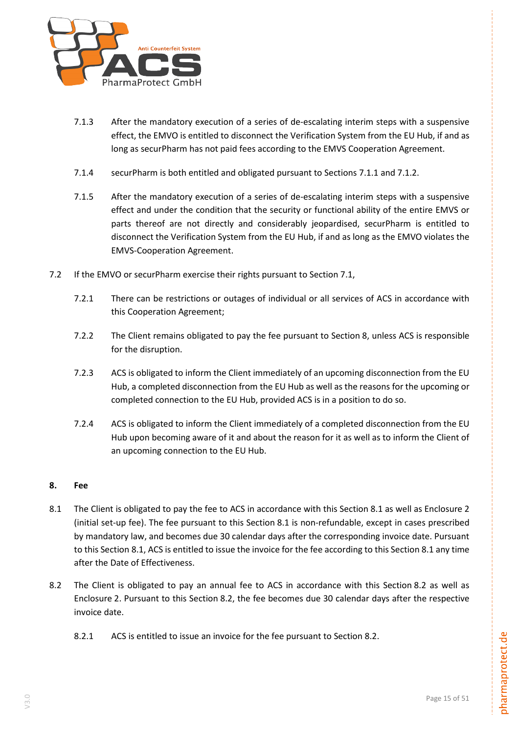

- 7.1.3 After the mandatory execution of a series of de-escalating interim steps with a suspensive effect, the EMVO is entitled to disconnect the Verification System from the EU Hub, if and as long as securPharm has not paid fees according to the EMVS Cooperation Agreement.
- 7.1.4 securPharm is both entitled and obligated pursuant to Sections [7.1.1](#page-13-1) and [7.1.2.](#page-13-2)
- 7.1.5 After the mandatory execution of a series of de-escalating interim steps with a suspensive effect and under the condition that the security or functional ability of the entire EMVS or parts thereof are not directly and considerably jeopardised, securPharm is entitled to disconnect the Verification System from the EU Hub, if and as long as the EMVO violates the EMVS-Cooperation Agreement.
- 7.2 If the EMVO or securPharm exercise their rights pursuant to Section [7.1,](#page-13-3)
	- 7.2.1 There can be restrictions or outages of individual or all services of ACS in accordance with this Cooperation Agreement;
	- 7.2.2 The Client remains obligated to pay the fee pursuant to Section [8,](#page-14-0) unless ACS is responsible for the disruption.
	- 7.2.3 ACS is obligated to inform the Client immediately of an upcoming disconnection from the EU Hub, a completed disconnection from the EU Hub as well as the reasons for the upcoming or completed connection to the EU Hub, provided ACS is in a position to do so.
	- 7.2.4 ACS is obligated to inform the Client immediately of a completed disconnection from the EU Hub upon becoming aware of it and about the reason for it as well as to inform the Client of an upcoming connection to the EU Hub.

# <span id="page-14-0"></span>**8. Fee**

- <span id="page-14-1"></span>[8.1](#page-14-1) The Client is obligated to pay the fee to ACS in accordance with this Section 8.1 as well as Enclosure 2 (initial set-up fee). The fee pursuant to this Section [8.1](#page-14-1) is non-refundable, except in cases prescribed by mandatory law, and becomes due 30 calendar days after the corresponding invoice date. Pursuant to this Section [8.1,](#page-14-1) ACS is entitled to issue the invoice for the fee according to this Sectio[n 8.1](#page-14-1) any time after the Date of Effectiveness.
- <span id="page-14-3"></span><span id="page-14-2"></span>[8.2](#page-14-2) The Client is obligated to pay an annual fee to ACS in accordance with this Section 8.2 as well as Enclosure 2. Pursuant to this Section [8.2,](#page-14-2) the fee becomes due 30 calendar days after the respective invoice date.
	- 8.2.1 ACS is entitled to issue an invoice for the fee pursuant to Section [8.2.](#page-14-2)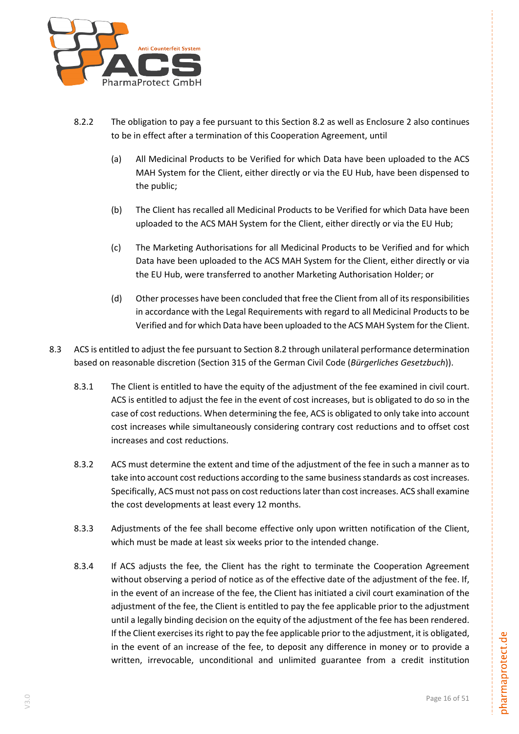

- 8.2.2 The obligation to pay a fee pursuant to this Section [8.2](#page-14-2) as well as Enclosure 2 also continues to be in effect after a termination of this Cooperation Agreement, until
	- (a) All Medicinal Products to be Verified for which Data have been uploaded to the ACS MAH System for the Client, either directly or via the EU Hub, have been dispensed to the public;
	- (b) The Client has recalled all Medicinal Products to be Verified for which Data have been uploaded to the ACS MAH System for the Client, either directly or via the EU Hub;
	- (c) The Marketing Authorisations for all Medicinal Products to be Verified and for which Data have been uploaded to the ACS MAH System for the Client, either directly or via the EU Hub, were transferred to another Marketing Authorisation Holder; or
	- (d) Other processes have been concluded that free the Client from all of its responsibilities in accordance with the Legal Requirements with regard to all Medicinal Products to be Verified and for which Data have been uploaded to the ACS MAH System for the Client.
- <span id="page-15-0"></span>8.3 ACS is entitled to adjust the fee pursuant to Section [8.2](#page-14-2) through unilateral performance determination based on reasonable discretion (Section 315 of the German Civil Code (*Bürgerliches Gesetzbuch*)).
	- 8.3.1 The Client is entitled to have the equity of the adjustment of the fee examined in civil court. ACS is entitled to adjust the fee in the event of cost increases, but is obligated to do so in the case of cost reductions. When determining the fee, ACS is obligated to only take into account cost increases while simultaneously considering contrary cost reductions and to offset cost increases and cost reductions.
	- 8.3.2 ACS must determine the extent and time of the adjustment of the fee in such a manner as to take into account cost reductions according to the same business standards as cost increases. Specifically, ACS must not pass on cost reductions later than cost increases. ACS shall examine the cost developments at least every 12 months.
	- 8.3.3 Adjustments of the fee shall become effective only upon written notification of the Client, which must be made at least six weeks prior to the intended change.
	- 8.3.4 If ACS adjusts the fee, the Client has the right to terminate the Cooperation Agreement without observing a period of notice as of the effective date of the adjustment of the fee. If, in the event of an increase of the fee, the Client has initiated a civil court examination of the adjustment of the fee, the Client is entitled to pay the fee applicable prior to the adjustment until a legally binding decision on the equity of the adjustment of the fee has been rendered. If the Client exercises its right to pay the fee applicable prior to the adjustment, it is obligated, in the event of an increase of the fee, to deposit any difference in money or to provide a written, irrevocable, unconditional and unlimited guarantee from a credit institution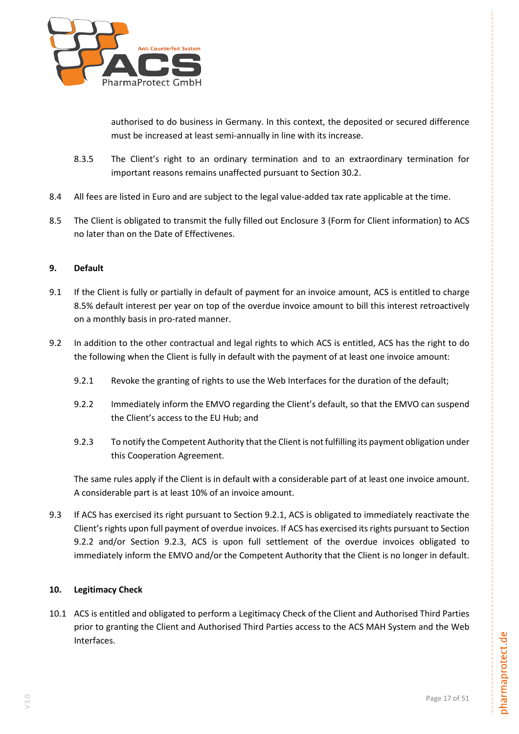

authorised to do business in Germany. In this context, the deposited or secured difference must be increased at least semi-annually in line with its increase.

- 8.3.5 The Client's right to an ordinary termination and to an extraordinary termination for important reasons remains unaffected pursuant to Section [30.2.](#page-26-0)
- 8.4 All fees are listed in Euro and are subject to the legal value-added tax rate applicable at the time.
- 8.5 The Client is obligated to transmit the fully filled out Enclosure 3 (Form for Client information) to ACS no later than on the Date of Effectivenes.

# <span id="page-16-0"></span>**9. Default**

- 9.1 If the Client is fully or partially in default of payment for an invoice amount, ACS is entitled to charge 8.5% default interest per year on top of the overdue invoice amount to bill this interest retroactively on a monthly basis in pro-rated manner.
- <span id="page-16-3"></span><span id="page-16-2"></span>9.2 In addition to the other contractual and legal rights to which ACS is entitled, ACS has the right to do the following when the Client is fully in default with the payment of at least one invoice amount:
	- 9.2.1 Revoke the granting of rights to use the Web Interfaces for the duration of the default;
	- 9.2.2 Immediately inform the EMVO regarding the Client's default, so that the EMVO can suspend the Client's access to the EU Hub; and
	- 9.2.3 To notify the Competent Authority that the Client is not fulfilling its payment obligation under this Cooperation Agreement.

<span id="page-16-4"></span>The same rules apply if the Client is in default with a considerable part of at least one invoice amount. A considerable part is at least 10% of an invoice amount.

9.3 If ACS has exercised its right pursuant to Section [9.2.1,](#page-16-2) ACS is obligated to immediately reactivate the Client's rights upon full payment of overdue invoices. If ACS has exercised its rights pursuant to Section [9.2.2](#page-16-3) and/or Section [9.2.3,](#page-16-4) ACS is upon full settlement of the overdue invoices obligated to immediately inform the EMVO and/or the Competent Authority that the Client is no longer in default.

# <span id="page-16-1"></span>**10. Legitimacy Check**

10.1 ACS is entitled and obligated to perform a Legitimacy Check of the Client and Authorised Third Parties prior to granting the Client and Authorised Third Parties access to the ACS MAH System and the Web Interfaces.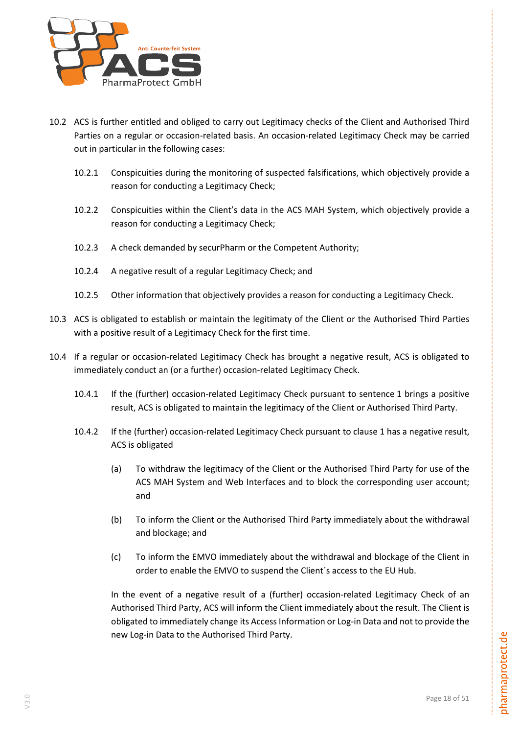

- 10.2 ACS is further entitled and obliged to carry out Legitimacy checks of the Client and Authorised Third Parties on a regular or occasion-related basis. An occasion-related Legitimacy Check may be carried out in particular in the following cases:
	- 10.2.1 Conspicuities during the monitoring of suspected falsifications, which objectively provide a reason for conducting a Legitimacy Check;
	- 10.2.2 Conspicuities within the Client's data in the ACS MAH System, which objectively provide a reason for conducting a Legitimacy Check;
	- 10.2.3 A check demanded by securPharm or the Competent Authority;
	- 10.2.4 A negative result of a regular Legitimacy Check; and
	- 10.2.5 Other information that objectively provides a reason for conducting a Legitimacy Check.
- 10.3 ACS is obligated to establish or maintain the legitimaty of the Client or the Authorised Third Parties with a positive result of a Legitimacy Check for the first time.
- 10.4 If a regular or occasion-related Legitimacy Check has brought a negative result, ACS is obligated to immediately conduct an (or a further) occasion-related Legitimacy Check.
	- 10.4.1 If the (further) occasion-related Legitimacy Check pursuant to sentence 1 brings a positive result, ACS is obligated to maintain the legitimacy of the Client or Authorised Third Party.
	- 10.4.2 If the (further) occasion-related Legitimacy Check pursuant to clause 1 has a negative result, ACS is obligated
		- (a) To withdraw the legitimacy of the Client or the Authorised Third Party for use of the ACS MAH System and Web Interfaces and to block the corresponding user account; and
		- (b) To inform the Client or the Authorised Third Party immediately about the withdrawal and blockage; and
		- (c) To inform the EMVO immediately about the withdrawal and blockage of the Client in order to enable the EMVO to suspend the Client´s access to the EU Hub.

In the event of a negative result of a (further) occasion-related Legitimacy Check of an Authorised Third Party, ACS will inform the Client immediately about the result. The Client is obligated to immediately change its Access Information or Log-in Data and not to provide the new Log-in Data to the Authorised Third Party.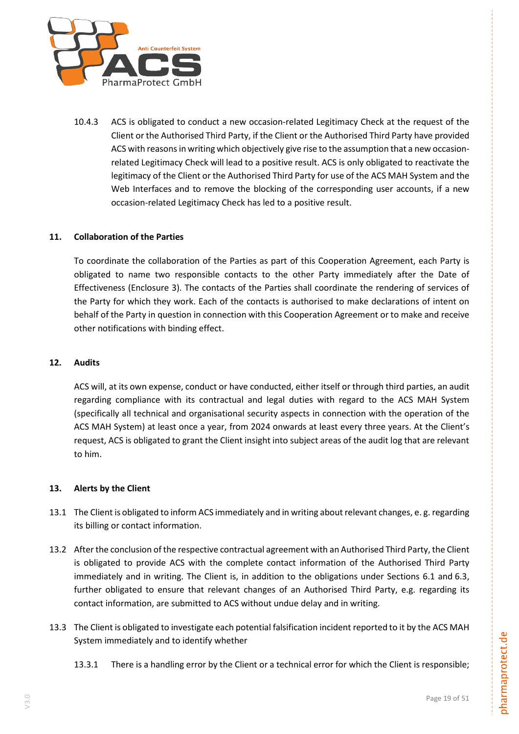

10.4.3 ACS is obligated to conduct a new occasion-related Legitimacy Check at the request of the Client or the Authorised Third Party, if the Client or the Authorised Third Party have provided ACS with reasons in writing which objectively give rise to the assumption that a new occasionrelated Legitimacy Check will lead to a positive result. ACS is only obligated to reactivate the legitimacy of the Client or the Authorised Third Party for use of the ACS MAH System and the Web Interfaces and to remove the blocking of the corresponding user accounts, if a new occasion-related Legitimacy Check has led to a positive result.

# <span id="page-18-0"></span>**11. Collaboration of the Parties**

To coordinate the collaboration of the Parties as part of this Cooperation Agreement, each Party is obligated to name two responsible contacts to the other Party immediately after the Date of Effectiveness (Enclosure 3). The contacts of the Parties shall coordinate the rendering of services of the Party for which they work. Each of the contacts is authorised to make declarations of intent on behalf of the Party in question in connection with this Cooperation Agreement or to make and receive other notifications with binding effect.

#### <span id="page-18-1"></span>**12. Audits**

ACS will, at its own expense, conduct or have conducted, either itself or through third parties, an audit regarding compliance with its contractual and legal duties with regard to the ACS MAH System (specifically all technical and organisational security aspects in connection with the operation of the ACS MAH System) at least once a year, from 2024 onwards at least every three years. At the Client's request, ACS is obligated to grant the Client insight into subject areas of the audit log that are relevant to him.

#### <span id="page-18-2"></span>**13. Alerts by the Client**

- 13.1 The Client is obligated to inform ACS immediately and in writing about relevant changes, e. g. regarding its billing or contact information.
- 13.2 After the conclusion of the respective contractual agreement with an Authorised Third Party, the Client is obligated to provide ACS with the complete contact information of the Authorised Third Party immediately and in writing. The Client is, in addition to the obligations under Sections [6.1](#page-13-4) and [6.3,](#page-13-5) further obligated to ensure that relevant changes of an Authorised Third Party, e.g. regarding its contact information, are submitted to ACS without undue delay and in writing.
- <span id="page-18-3"></span>13.3 The Client is obligated to investigate each potential falsification incident reported to it by the ACS MAH System immediately and to identify whether
	- 13.3.1 There is a handling error by the Client or a technical error for which the Client is responsible;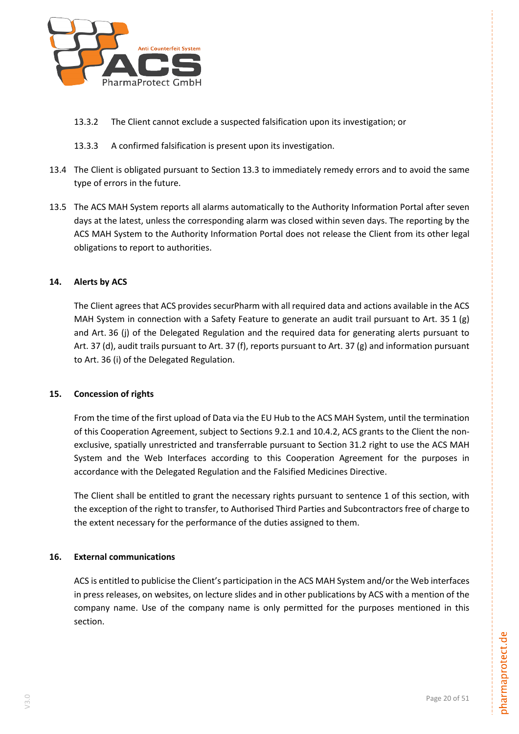

- 13.3.2 The Client cannot exclude a suspected falsification upon its investigation; or
- 13.3.3 A confirmed falsification is present upon its investigation.
- 13.4 The Client is obligated pursuant to Section [13.3](#page-18-3) to immediately remedy errors and to avoid the same type of errors in the future.
- 13.5 The ACS MAH System reports all alarms automatically to the Authority Information Portal after seven days at the latest, unless the corresponding alarm was closed within seven days. The reporting by the ACS MAH System to the Authority Information Portal does not release the Client from its other legal obligations to report to authorities.

# <span id="page-19-0"></span>**14. Alerts by ACS**

The Client agrees that ACS provides securPharm with all required data and actions available in the ACS MAH System in connection with a Safety Feature to generate an audit trail pursuant to Art. 35 1 (g) and Art. 36 (j) of the Delegated Regulation and the required data for generating alerts pursuant to Art. 37 (d), audit trails pursuant to Art. 37 (f), reports pursuant to Art. 37 (g) and information pursuant to Art. 36 (i) of the Delegated Regulation.

#### <span id="page-19-1"></span>**15. Concession of rights**

From the time of the first upload of Data via the EU Hub to the ACS MAH System, until the termination of this Cooperation Agreement, subject to Sections 9.2.1 and 10.4.2, ACS grants to the Client the nonexclusive, spatially unrestricted and transferrable pursuant to Section [31.2](#page-28-2) right to use the ACS MAH System and the Web Interfaces according to this Cooperation Agreement for the purposes in accordance with the Delegated Regulation and the Falsified Medicines Directive.

The Client shall be entitled to grant the necessary rights pursuant to sentence 1 of this section, with the exception of the right to transfer, to Authorised Third Parties and Subcontractors free of charge to the extent necessary for the performance of the duties assigned to them.

#### <span id="page-19-2"></span>**16. External communications**

ACS is entitled to publicise the Client's participation in the ACS MAH System and/or the Web interfaces in press releases, on websites, on lecture slides and in other publications by ACS with a mention of the company name. Use of the company name is only permitted for the purposes mentioned in this section.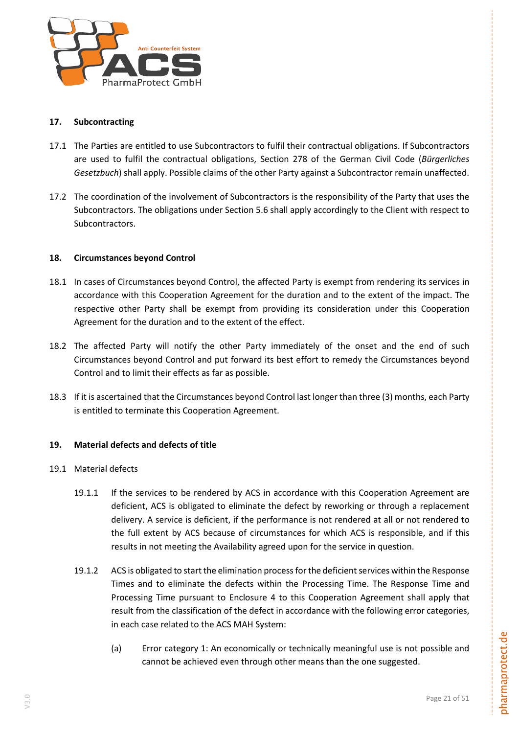

# <span id="page-20-0"></span>**17. Subcontracting**

- 17.1 The Parties are entitled to use Subcontractors to fulfil their contractual obligations. If Subcontractors are used to fulfil the contractual obligations, Section 278 of the German Civil Code (*Bürgerliches Gesetzbuch*) shall apply. Possible claims of the other Party against a Subcontractor remain unaffected.
- 17.2 The coordination of the involvement of Subcontractors is the responsibility of the Party that uses the Subcontractors. The obligations under Section 5.6 shall apply accordingly to the Client with respect to Subcontractors.

# <span id="page-20-1"></span>**18. Circumstances beyond Control**

- 18.1 In cases of Circumstances beyond Control, the affected Party is exempt from rendering its services in accordance with this Cooperation Agreement for the duration and to the extent of the impact. The respective other Party shall be exempt from providing its consideration under this Cooperation Agreement for the duration and to the extent of the effect.
- 18.2 The affected Party will notify the other Party immediately of the onset and the end of such Circumstances beyond Control and put forward its best effort to remedy the Circumstances beyond Control and to limit their effects as far as possible.
- 18.3 If it is ascertained that the Circumstances beyond Control last longer than three (3) months, each Party is entitled to terminate this Cooperation Agreement.

#### <span id="page-20-2"></span>**19. Material defects and defects of title**

- <span id="page-20-3"></span>19.1 Material defects
	- 19.1.1 If the services to be rendered by ACS in accordance with this Cooperation Agreement are deficient, ACS is obligated to eliminate the defect by reworking or through a replacement delivery. A service is deficient, if the performance is not rendered at all or not rendered to the full extent by ACS because of circumstances for which ACS is responsible, and if this results in not meeting the Availability agreed upon for the service in question.
	- 19.1.2 ACS is obligated to start the elimination process for the deficient services within the Response Times and to eliminate the defects within the Processing Time. The Response Time and Processing Time pursuant to Enclosure 4 to this Cooperation Agreement shall apply that result from the classification of the defect in accordance with the following error categories, in each case related to the ACS MAH System:
		- (a) Error category 1: An economically or technically meaningful use is not possible and cannot be achieved even through other means than the one suggested.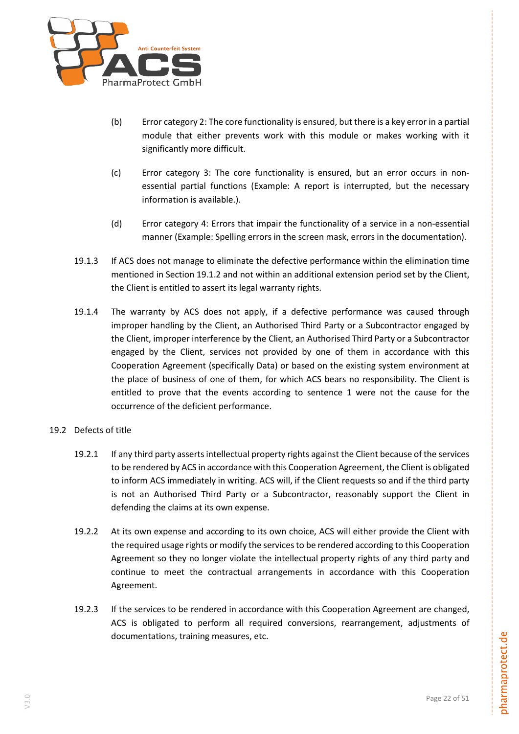

- (b) Error category 2: The core functionality is ensured, but there is a key error in a partial module that either prevents work with this module or makes working with it significantly more difficult.
- (c) Error category 3: The core functionality is ensured, but an error occurs in nonessential partial functions (Example: A report is interrupted, but the necessary information is available.).
- (d) Error category 4: Errors that impair the functionality of a service in a non-essential manner (Example: Spelling errors in the screen mask, errors in the documentation).
- 19.1.3 If ACS does not manage to eliminate the defective performance within the elimination time mentioned in Section [19.1.2](#page-20-3) and not within an additional extension period set by the Client, the Client is entitled to assert its legal warranty rights.
- 19.1.4 The warranty by ACS does not apply, if a defective performance was caused through improper handling by the Client, an Authorised Third Party or a Subcontractor engaged by the Client, improper interference by the Client, an Authorised Third Party or a Subcontractor engaged by the Client, services not provided by one of them in accordance with this Cooperation Agreement (specifically Data) or based on the existing system environment at the place of business of one of them, for which ACS bears no responsibility. The Client is entitled to prove that the events according to sentence 1 were not the cause for the occurrence of the deficient performance.
- <span id="page-21-0"></span>19.2 Defects of title
	- 19.2.1 If any third party asserts intellectual property rights against the Client because of the services to be rendered by ACS in accordance with this Cooperation Agreement, the Client is obligated to inform ACS immediately in writing. ACS will, if the Client requests so and if the third party is not an Authorised Third Party or a Subcontractor, reasonably support the Client in defending the claims at its own expense.
	- 19.2.2 At its own expense and according to its own choice, ACS will either provide the Client with the required usage rights or modify the services to be rendered according to this Cooperation Agreement so they no longer violate the intellectual property rights of any third party and continue to meet the contractual arrangements in accordance with this Cooperation Agreement.
	- 19.2.3 If the services to be rendered in accordance with this Cooperation Agreement are changed, ACS is obligated to perform all required conversions, rearrangement, adjustments of documentations, training measures, etc.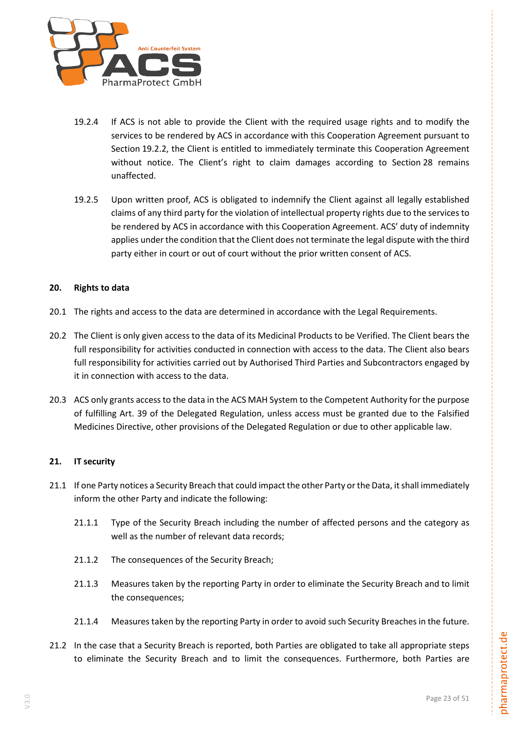

- 19.2.4 If ACS is not able to provide the Client with the required usage rights and to modify the services to be rendered by ACS in accordance with this Cooperation Agreement pursuant to Section [19.2.2,](#page-21-0) the Client is entitled to immediately terminate this Cooperation Agreement without notice. The Client's right to claim damages according to Section [28](#page-25-0) remains unaffected.
- 19.2.5 Upon written proof, ACS is obligated to indemnify the Client against all legally established claims of any third party for the violation of intellectual property rights due to the services to be rendered by ACS in accordance with this Cooperation Agreement. ACS' duty of indemnity applies under the condition that the Client does not terminate the legal dispute with the third party either in court or out of court without the prior written consent of ACS.

# <span id="page-22-0"></span>**20. Rights to data**

- 20.1 The rights and access to the data are determined in accordance with the Legal Requirements.
- 20.2 The Client is only given access to the data of its Medicinal Products to be Verified. The Client bears the full responsibility for activities conducted in connection with access to the data. The Client also bears full responsibility for activities carried out by Authorised Third Parties and Subcontractors engaged by it in connection with access to the data.
- <span id="page-22-2"></span>20.3 ACS only grants access to the data in the ACS MAH System to the Competent Authority for the purpose of fulfilling Art. 39 of the Delegated Regulation, unless access must be granted due to the Falsified Medicines Directive, other provisions of the Delegated Regulation or due to other applicable law.

#### <span id="page-22-1"></span>**21. IT security**

- 21.1 If one Party notices a Security Breach that could impact the other Party or the Data, it shall immediately inform the other Party and indicate the following:
	- 21.1.1 Type of the Security Breach including the number of affected persons and the category as well as the number of relevant data records;
	- 21.1.2 The consequences of the Security Breach;
	- 21.1.3 Measures taken by the reporting Party in order to eliminate the Security Breach and to limit the consequences;
	- 21.1.4 Measures taken by the reporting Party in order to avoid such Security Breaches in the future.
- 21.2 In the case that a Security Breach is reported, both Parties are obligated to take all appropriate steps to eliminate the Security Breach and to limit the consequences. Furthermore, both Parties are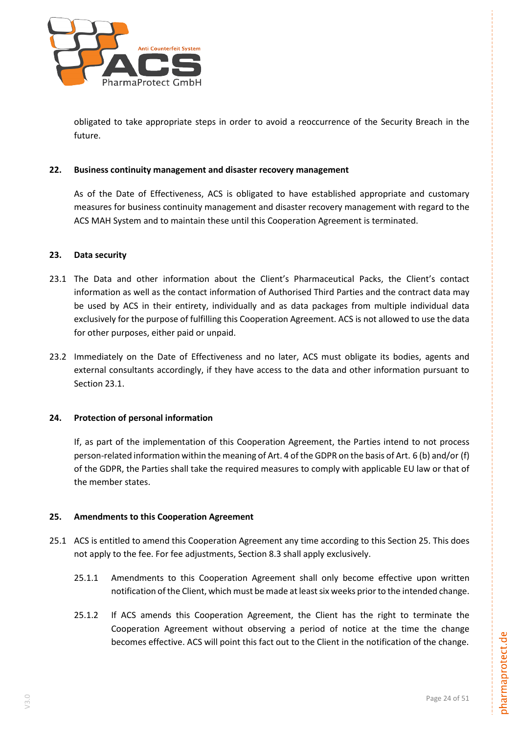

obligated to take appropriate steps in order to avoid a reoccurrence of the Security Breach in the future.

#### <span id="page-23-0"></span>**22. Business continuity management and disaster recovery management**

As of the Date of Effectiveness, ACS is obligated to have established appropriate and customary measures for business continuity management and disaster recovery management with regard to the ACS MAH System and to maintain these until this Cooperation Agreement is terminated.

#### <span id="page-23-1"></span>**23. Data security**

- <span id="page-23-4"></span>23.1 The Data and other information about the Client's Pharmaceutical Packs, the Client's contact information as well as the contact information of Authorised Third Parties and the contract data may be used by ACS in their entirety, individually and as data packages from multiple individual data exclusively for the purpose of fulfilling this Cooperation Agreement. ACS is not allowed to use the data for other purposes, either paid or unpaid.
- 23.2 Immediately on the Date of Effectiveness and no later, ACS must obligate its bodies, agents and external consultants accordingly, if they have access to the data and other information pursuant to Section [23.1.](#page-23-4)

#### <span id="page-23-2"></span>**24. Protection of personal information**

If, as part of the implementation of this Cooperation Agreement, the Parties intend to not process person-related information within the meaning of Art. 4 of the GDPR on the basis of Art. 6 (b) and/or (f) of the GDPR, the Parties shall take the required measures to comply with applicable EU law or that of the member states.

#### <span id="page-23-3"></span>**25. Amendments to this Cooperation Agreement**

- <span id="page-23-6"></span><span id="page-23-5"></span>25.1 ACS is entitled to amend this Cooperation Agreement any time according to this Section [25.](#page-23-3) This does not apply to the fee. For fee adjustments, Section [8.3](#page-15-0) shall apply exclusively.
	- 25.1.1 Amendments to this Cooperation Agreement shall only become effective upon written notification of the Client, which must be made at least six weeks prior to the intended change.
	- 25.1.2 If ACS amends this Cooperation Agreement, the Client has the right to terminate the Cooperation Agreement without observing a period of notice at the time the change becomes effective. ACS will point this fact out to the Client in the notification of the change.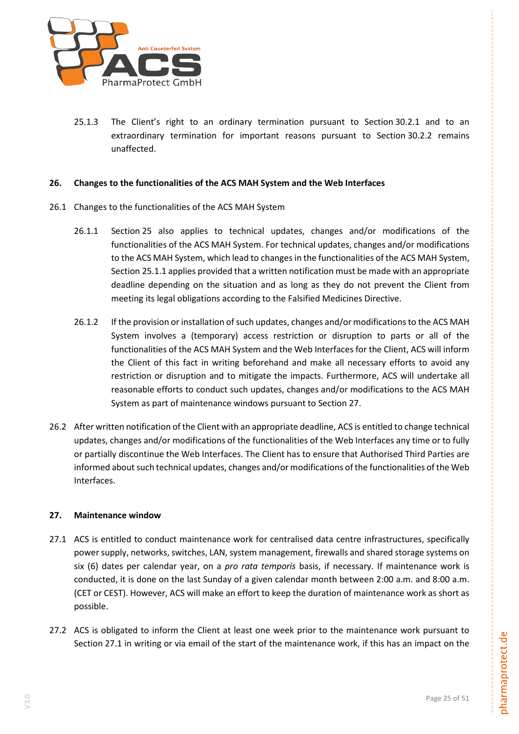

<span id="page-24-3"></span>25.1.3 The Client's right to an ordinary termination pursuant to Section [30.2.1](#page-26-1) and to an extraordinary termination for important reasons pursuant to Section [30.2.2](#page-26-2) remains unaffected.

#### <span id="page-24-0"></span>**26. Changes to the functionalities of the ACS MAH System and the Web Interfaces**

- 26.1 Changes to the functionalities of the ACS MAH System
	- 26.1.1 Section [25](#page-23-3) also applies to technical updates, changes and/or modifications of the functionalities of the ACS MAH System. For technical updates, changes and/or modifications to the ACS MAH System, which lead to changes in the functionalities of the ACS MAH System, Section [25.1.1](#page-23-5) applies provided that a written notification must be made with an appropriate deadline depending on the situation and as long as they do not prevent the Client from meeting its legal obligations according to the Falsified Medicines Directive.
	- 26.1.2 If the provision or installation of such updates, changes and/or modifications to the ACS MAH System involves a (temporary) access restriction or disruption to parts or all of the functionalities of the ACS MAH System and the Web Interfaces for the Client, ACS will inform the Client of this fact in writing beforehand and make all necessary efforts to avoid any restriction or disruption and to mitigate the impacts. Furthermore, ACS will undertake all reasonable efforts to conduct such updates, changes and/or modifications to the ACS MAH System as part of maintenance windows pursuant to Section [27.](#page-24-1)
- 26.2 After written notification of the Client with an appropriate deadline, ACS is entitled to change technical updates, changes and/or modifications of the functionalities of the Web Interfaces any time or to fully or partially discontinue the Web Interfaces. The Client has to ensure that Authorised Third Parties are informed about such technical updates, changes and/or modifications of the functionalities of the Web Interfaces.

# <span id="page-24-1"></span>**27. Maintenance window**

- <span id="page-24-2"></span>27.1 ACS is entitled to conduct maintenance work for centralised data centre infrastructures, specifically power supply, networks, switches, LAN, system management, firewalls and shared storage systems on six (6) dates per calendar year, on a *pro rata temporis* basis, if necessary. If maintenance work is conducted, it is done on the last Sunday of a given calendar month between 2:00 a.m. and 8:00 a.m. (CET or CEST). However, ACS will make an effort to keep the duration of maintenance work as short as possible.
- 27.2 ACS is obligated to inform the Client at least one week prior to the maintenance work pursuant to Section [27.1](#page-24-2) in writing or via email of the start of the maintenance work, if this has an impact on the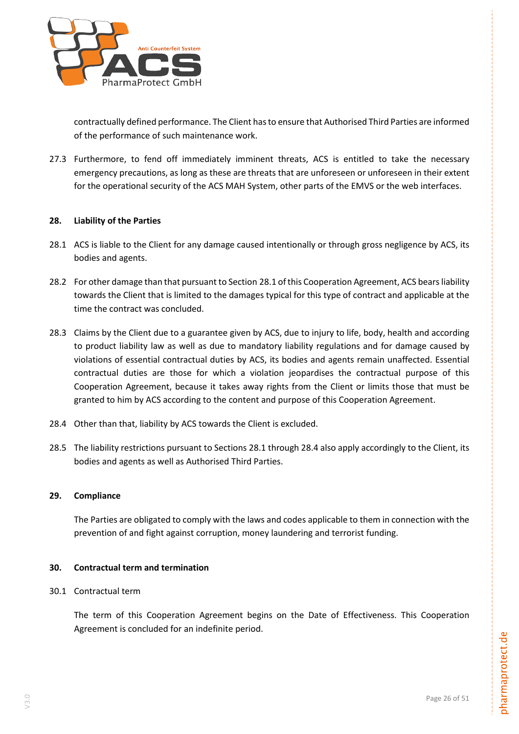

contractually defined performance. The Client has to ensure that Authorised Third Parties are informed of the performance of such maintenance work.

27.3 Furthermore, to fend off immediately imminent threats, ACS is entitled to take the necessary emergency precautions, as long as these are threats that are unforeseen or unforeseen in their extent for the operational security of the ACS MAH System, other parts of the EMVS or the web interfaces.

# <span id="page-25-0"></span>**28. Liability of the Parties**

- <span id="page-25-3"></span>28.1 ACS is liable to the Client for any damage caused intentionally or through gross negligence by ACS, its bodies and agents.
- 28.2 For other damage than that pursuant to Section [28.1](#page-25-3) of this Cooperation Agreement, ACS bears liability towards the Client that is limited to the damages typical for this type of contract and applicable at the time the contract was concluded.
- 28.3 Claims by the Client due to a guarantee given by ACS, due to injury to life, body, health and according to product liability law as well as due to mandatory liability regulations and for damage caused by violations of essential contractual duties by ACS, its bodies and agents remain unaffected. Essential contractual duties are those for which a violation jeopardises the contractual purpose of this Cooperation Agreement, because it takes away rights from the Client or limits those that must be granted to him by ACS according to the content and purpose of this Cooperation Agreement.
- <span id="page-25-4"></span>28.4 Other than that, liability by ACS towards the Client is excluded.
- 28.5 The liability restrictions pursuant to Sections [28.1](#page-25-3) through [28.4](#page-25-4) also apply accordingly to the Client, its bodies and agents as well as Authorised Third Parties.

#### <span id="page-25-1"></span>**29. Compliance**

The Parties are obligated to comply with the laws and codes applicable to them in connection with the prevention of and fight against corruption, money laundering and terrorist funding.

#### <span id="page-25-2"></span>**30. Contractual term and termination**

#### 30.1 Contractual term

The term of this Cooperation Agreement begins on the Date of Effectiveness. This Cooperation Agreement is concluded for an indefinite period.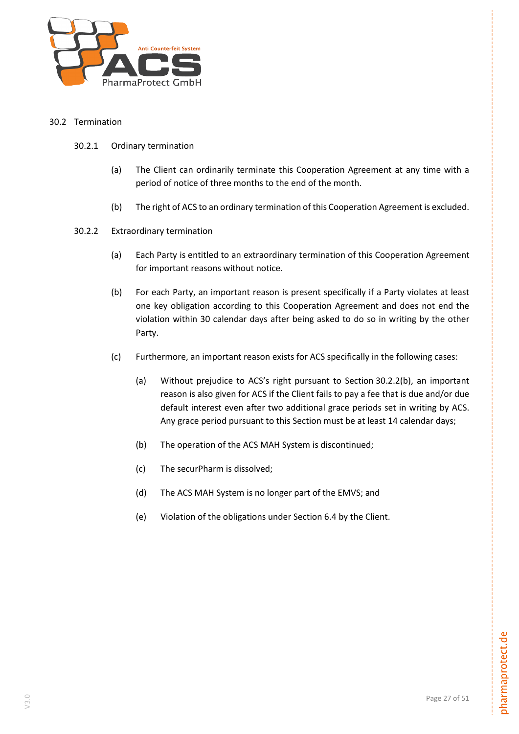

# <span id="page-26-1"></span><span id="page-26-0"></span>30.2 Termination

- 30.2.1 Ordinary termination
	- (a) The Client can ordinarily terminate this Cooperation Agreement at any time with a period of notice of three months to the end of the month.
	- (b) The right of ACS to an ordinary termination of this Cooperation Agreement is excluded.
- <span id="page-26-3"></span><span id="page-26-2"></span>30.2.2 Extraordinary termination
	- (a) Each Party is entitled to an extraordinary termination of this Cooperation Agreement for important reasons without notice.
	- (b) For each Party, an important reason is present specifically if a Party violates at least one key obligation according to this Cooperation Agreement and does not end the violation within 30 calendar days after being asked to do so in writing by the other Party.
	- (c) Furthermore, an important reason exists for ACS specifically in the following cases:
		- (a) Without prejudice to ACS's right pursuant to Section [30.2.2](#page-26-2)[\(b\),](#page-26-3) an important reason is also given for ACS if the Client fails to pay a fee that is due and/or due default interest even after two additional grace periods set in writing by ACS. Any grace period pursuant to this Section must be at least 14 calendar days;
		- (b) The operation of the ACS MAH System is discontinued;
		- (c) The securPharm is dissolved;
		- (d) The ACS MAH System is no longer part of the EMVS; and
		- (e) Violation of the obligations under Section 6.4 by the Client.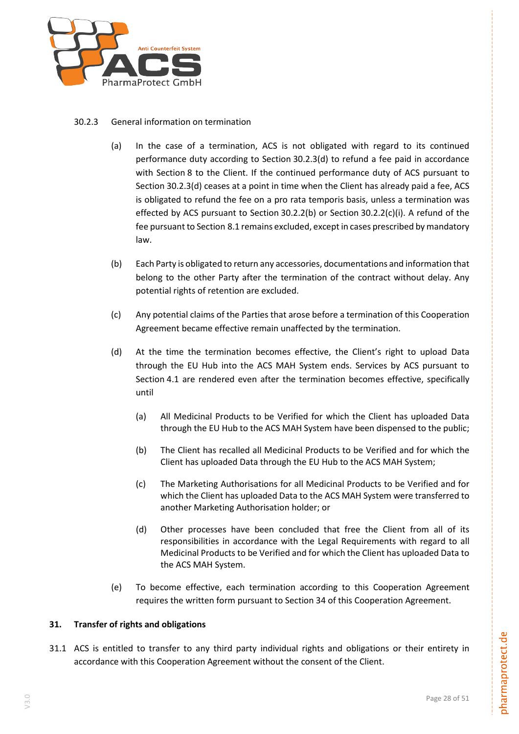

# 30.2.3 General information on termination

- (a) In the case of a termination, ACS is not obligated with regard to its continued performance duty according to Section 30.2.3(d) to refund a fee paid in accordance with Section 8 to the Client. If the continued performance duty of ACS pursuant to Section 30.2.3(d) ceases at a point in time when the Client has already paid a fee, ACS is obligated to refund the fee on a pro rata temporis basis, unless a termination was effected by ACS pursuant to Section 30.2.2(b) or Section 30.2.2(c)(i). A refund of the fee pursuant to Section 8.1 remains excluded, except in cases prescribed by mandatory law.
- (b) Each Party is obligated to return any accessories, documentations and information that belong to the other Party after the termination of the contract without delay. Any potential rights of retention are excluded.
- (c) Any potential claims of the Parties that arose before a termination of this Cooperation Agreement became effective remain unaffected by the termination.
- (d) At the time the termination becomes effective, the Client's right to upload Data through the EU Hub into the ACS MAH System ends. Services by ACS pursuant to Section 4.1 are rendered even after the termination becomes effective, specifically until
	- (a) All Medicinal Products to be Verified for which the Client has uploaded Data through the EU Hub to the ACS MAH System have been dispensed to the public;
	- (b) The Client has recalled all Medicinal Products to be Verified and for which the Client has uploaded Data through the EU Hub to the ACS MAH System;
	- (c) The Marketing Authorisations for all Medicinal Products to be Verified and for which the Client has uploaded Data to the ACS MAH System were transferred to another Marketing Authorisation holder; or
	- (d) Other processes have been concluded that free the Client from all of its responsibilities in accordance with the Legal Requirements with regard to all Medicinal Products to be Verified and for which the Client has uploaded Data to the ACS MAH System.
- (e) To become effective, each termination according to this Cooperation Agreement requires the written form pursuant to Section [34](#page-29-0) of this Cooperation Agreement.

# <span id="page-27-0"></span>**31. Transfer of rights and obligations**

<span id="page-27-1"></span>31.1 ACS is entitled to transfer to any third party individual rights and obligations or their entirety in accordance with this Cooperation Agreement without the consent of the Client.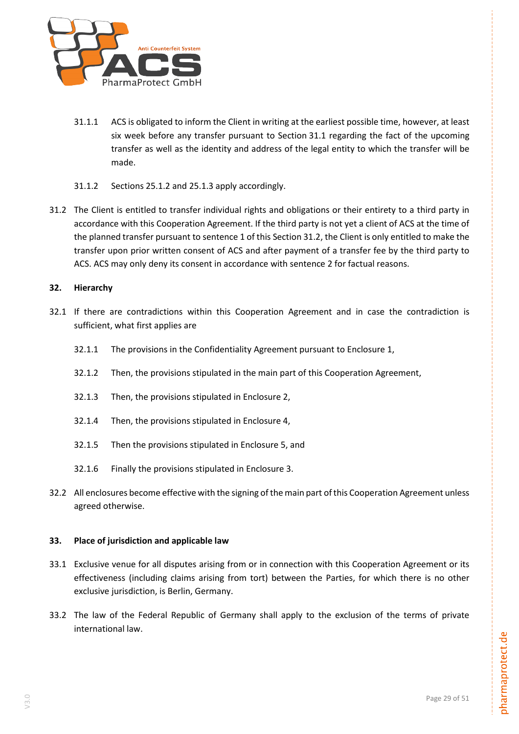

- 31.1.1 ACS is obligated to inform the Client in writing at the earliest possible time, however, at least six week before any transfer pursuant to Section [31.1](#page-27-1) regarding the fact of the upcoming transfer as well as the identity and address of the legal entity to which the transfer will be made.
- 31.1.2 Sections [25.1.2](#page-23-6) and [25.1.3](#page-24-3) apply accordingly.
- <span id="page-28-2"></span>31.2 The Client is entitled to transfer individual rights and obligations or their entirety to a third party in accordance with this Cooperation Agreement. If the third party is not yet a client of ACS at the time of the planned transfer pursuant to sentence 1 of this Sectio[n 31.2,](#page-28-2) the Client is only entitled to make the transfer upon prior written consent of ACS and after payment of a transfer fee by the third party to ACS. ACS may only deny its consent in accordance with sentence 2 for factual reasons.

# <span id="page-28-0"></span>**32. Hierarchy**

- 32.1 If there are contradictions within this Cooperation Agreement and in case the contradiction is sufficient, what first applies are
	- 32.1.1 The provisions in the Confidentiality Agreement pursuant to Enclosure 1,
	- 32.1.2 Then, the provisions stipulated in the main part of this Cooperation Agreement,
	- 32.1.3 Then, the provisions stipulated in Enclosure 2,
	- 32.1.4 Then, the provisions stipulated in Enclosure 4,
	- 32.1.5 Then the provisions stipulated in Enclosure 5, and
	- 32.1.6 Finally the provisions stipulated in Enclosure 3.
- 32.2 All enclosures become effective with the signing of the main part of this Cooperation Agreement unless agreed otherwise.

#### <span id="page-28-1"></span>**33. Place of jurisdiction and applicable law**

- 33.1 Exclusive venue for all disputes arising from or in connection with this Cooperation Agreement or its effectiveness (including claims arising from tort) between the Parties, for which there is no other exclusive jurisdiction, is Berlin, Germany.
- 33.2 The law of the Federal Republic of Germany shall apply to the exclusion of the terms of private international law.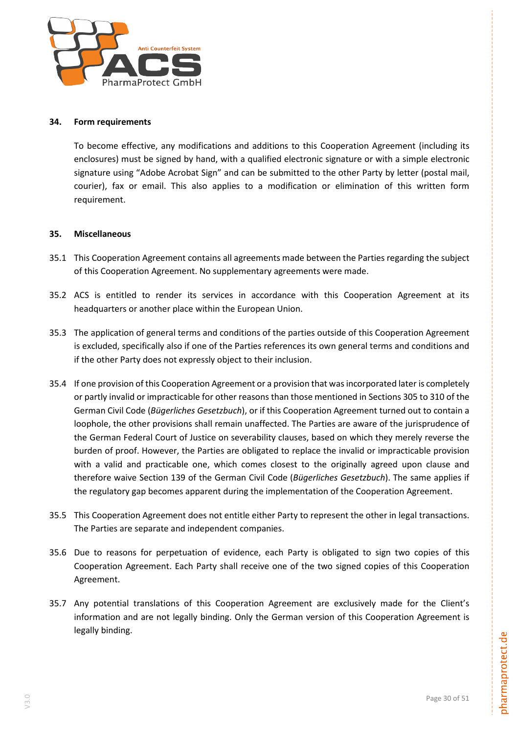

#### <span id="page-29-0"></span>**34. Form requirements**

To become effective, any modifications and additions to this Cooperation Agreement (including its enclosures) must be signed by hand, with a qualified electronic signature or with a simple electronic signature using "Adobe Acrobat Sign" and can be submitted to the other Party by letter (postal mail, courier), fax or email. This also applies to a modification or elimination of this written form requirement.

# <span id="page-29-1"></span>**35. Miscellaneous**

- 35.1 This Cooperation Agreement contains all agreements made between the Parties regarding the subject of this Cooperation Agreement. No supplementary agreements were made.
- 35.2 ACS is entitled to render its services in accordance with this Cooperation Agreement at its headquarters or another place within the European Union.
- 35.3 The application of general terms and conditions of the parties outside of this Cooperation Agreement is excluded, specifically also if one of the Parties references its own general terms and conditions and if the other Party does not expressly object to their inclusion.
- 35.4 If one provision of this Cooperation Agreement or a provision that was incorporated later is completely or partly invalid or impracticable for other reasons than those mentioned in Sections 305 to 310 of the German Civil Code (*Bügerliches Gesetzbuch*), or if this Cooperation Agreement turned out to contain a loophole, the other provisions shall remain unaffected. The Parties are aware of the jurisprudence of the German Federal Court of Justice on severability clauses, based on which they merely reverse the burden of proof. However, the Parties are obligated to replace the invalid or impracticable provision with a valid and practicable one, which comes closest to the originally agreed upon clause and therefore waive Section 139 of the German Civil Code (*Bügerliches Gesetzbuch*). The same applies if the regulatory gap becomes apparent during the implementation of the Cooperation Agreement.
- 35.5 This Cooperation Agreement does not entitle either Party to represent the other in legal transactions. The Parties are separate and independent companies.
- 35.6 Due to reasons for perpetuation of evidence, each Party is obligated to sign two copies of this Cooperation Agreement. Each Party shall receive one of the two signed copies of this Cooperation Agreement.
- 35.7 Any potential translations of this Cooperation Agreement are exclusively made for the Client's information and are not legally binding. Only the German version of this Cooperation Agreement is legally binding.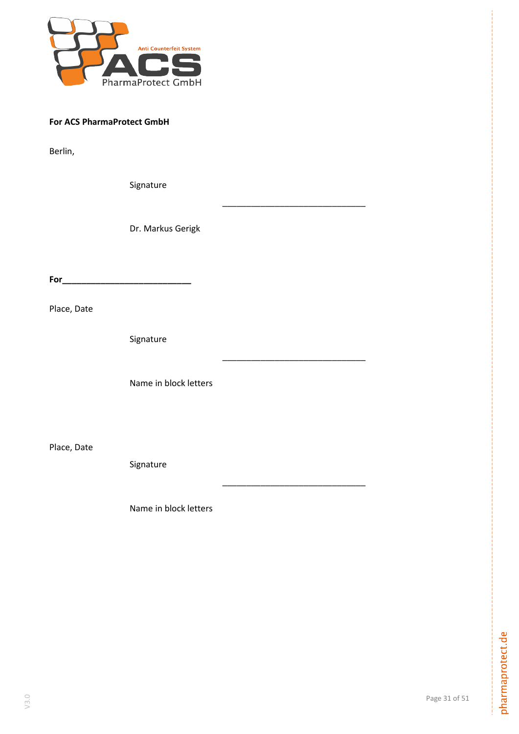

# **For ACS PharmaProtect GmbH**

Berlin,

Signature

Dr. Markus Gerigk

\_\_\_\_\_\_\_\_\_\_\_\_\_\_\_\_\_\_\_\_\_\_\_\_\_\_\_\_\_\_

\_\_\_\_\_\_\_\_\_\_\_\_\_\_\_\_\_\_\_\_\_\_\_\_\_\_\_\_\_\_

\_\_\_\_\_\_\_\_\_\_\_\_\_\_\_\_\_\_\_\_\_\_\_\_\_\_\_\_\_\_

**For\_\_\_\_\_\_\_\_\_\_\_\_\_\_\_\_\_\_\_\_\_\_\_\_\_\_\_**

Place, Date

Signature

Name in block letters

Place, Date

Signature

Name in block letters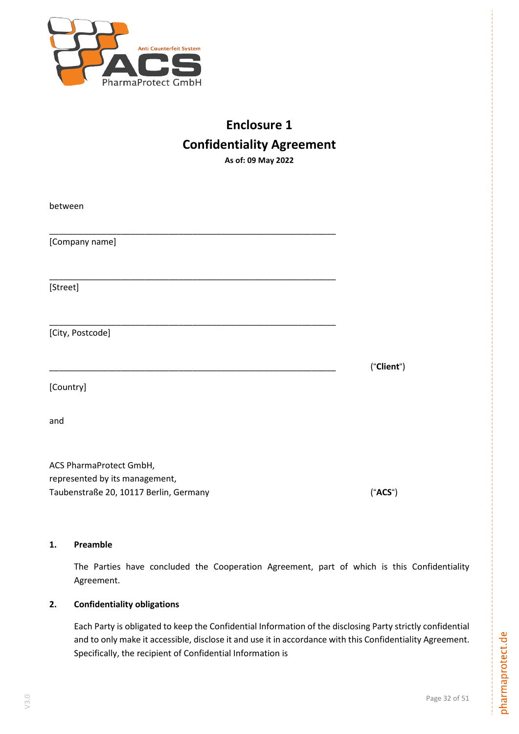

# **Enclosure 1 Confidentiality Agreement As of: 09 May 2022**

between \_\_\_\_\_\_\_\_\_\_\_\_\_\_\_\_\_\_\_\_\_\_\_\_\_\_\_\_\_\_\_\_\_\_\_\_\_\_\_\_\_\_\_\_\_\_\_\_\_\_\_\_\_\_\_\_\_\_\_\_ [Company name] \_\_\_\_\_\_\_\_\_\_\_\_\_\_\_\_\_\_\_\_\_\_\_\_\_\_\_\_\_\_\_\_\_\_\_\_\_\_\_\_\_\_\_\_\_\_\_\_\_\_\_\_\_\_\_\_\_\_\_\_ [Street] \_\_\_\_\_\_\_\_\_\_\_\_\_\_\_\_\_\_\_\_\_\_\_\_\_\_\_\_\_\_\_\_\_\_\_\_\_\_\_\_\_\_\_\_\_\_\_\_\_\_\_\_\_\_\_\_\_\_\_\_ [City, Postcode] \_\_\_\_\_\_\_\_\_\_\_\_\_\_\_\_\_\_\_\_\_\_\_\_\_\_\_\_\_\_\_\_\_\_\_\_\_\_\_\_\_\_\_\_\_\_\_\_\_\_\_\_\_\_\_\_\_\_\_\_ ("**Client**") [Country] and ACS PharmaProtect GmbH, represented by its management,

Taubenstraße 20, 10117 Berlin, Germany ("**ACS**")

# **1. Preamble**

The Parties have concluded the Cooperation Agreement, part of which is this Confidentiality Agreement.

# **2. Confidentiality obligations**

Each Party is obligated to keep the Confidential Information of the disclosing Party strictly confidential and to only make it accessible, disclose it and use it in accordance with this Confidentiality Agreement. Specifically, the recipient of Confidential Information is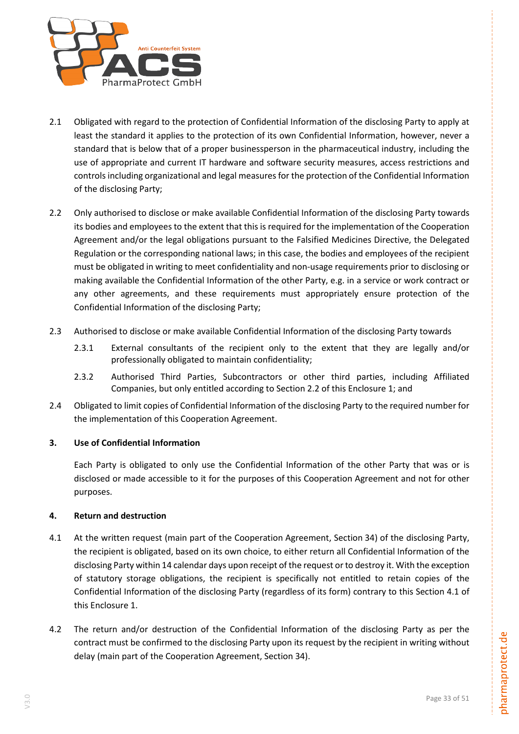

- 2.1 Obligated with regard to the protection of Confidential Information of the disclosing Party to apply at least the standard it applies to the protection of its own Confidential Information, however, never a standard that is below that of a proper businessperson in the pharmaceutical industry, including the use of appropriate and current IT hardware and software security measures, access restrictions and controls including organizational and legal measures for the protection of the Confidential Information of the disclosing Party;
- 2.2 Only authorised to disclose or make available Confidential Information of the disclosing Party towards its bodies and employees to the extent that this is required for the implementation of the Cooperation Agreement and/or the legal obligations pursuant to the Falsified Medicines Directive, the Delegated Regulation or the corresponding national laws; in this case, the bodies and employees of the recipient must be obligated in writing to meet confidentiality and non-usage requirements prior to disclosing or making available the Confidential Information of the other Party, e.g. in a service or work contract or any other agreements, and these requirements must appropriately ensure protection of the Confidential Information of the disclosing Party;
- 2.3 Authorised to disclose or make available Confidential Information of the disclosing Party towards
	- 2.3.1 External consultants of the recipient only to the extent that they are legally and/or professionally obligated to maintain confidentiality;
	- 2.3.2 Authorised Third Parties, Subcontractors or other third parties, including Affiliated Companies, but only entitled according to Section 2.2 of this Enclosure 1; and
- 2.4 Obligated to limit copies of Confidential Information of the disclosing Party to the required number for the implementation of this Cooperation Agreement.

#### <span id="page-32-0"></span>**3. Use of Confidential Information**

Each Party is obligated to only use the Confidential Information of the other Party that was or is disclosed or made accessible to it for the purposes of this Cooperation Agreement and not for other purposes.

#### **4. Return and destruction**

- 4.1 At the written request (main part of the Cooperation Agreement, Section 34) of the disclosing Party, the recipient is obligated, based on its own choice, to either return all Confidential Information of the disclosing Party within 14 calendar days upon receipt of the request or to destroy it. With the exception of statutory storage obligations, the recipient is specifically not entitled to retain copies of the Confidential Information of the disclosing Party (regardless of its form) contrary to this Section 4.1 of this Enclosure 1.
- 4.2 The return and/or destruction of the Confidential Information of the disclosing Party as per the contract must be confirmed to the disclosing Party upon its request by the recipient in writing without delay (main part of the Cooperation Agreement, Section 34).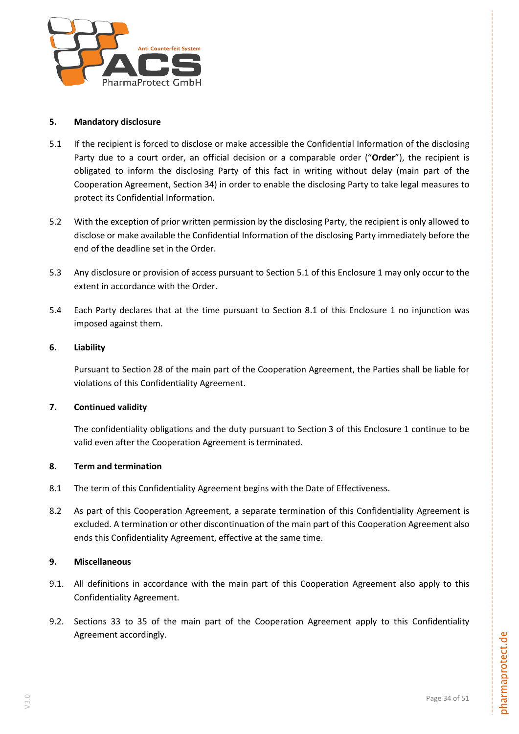

#### **5. Mandatory disclosure**

- 5.1 If the recipient is forced to disclose or make accessible the Confidential Information of the disclosing Party due to a court order, an official decision or a comparable order ("**Order**"), the recipient is obligated to inform the disclosing Party of this fact in writing without delay (main part of the Cooperation Agreement, Section 34) in order to enable the disclosing Party to take legal measures to protect its Confidential Information.
- 5.2 With the exception of prior written permission by the disclosing Party, the recipient is only allowed to disclose or make available the Confidential Information of the disclosing Party immediately before the end of the deadline set in the Order.
- 5.3 Any disclosure or provision of access pursuant to Section 5.1 of this Enclosure 1 may only occur to the extent in accordance with the Order.
- 5.4 Each Party declares that at the time pursuant to Section [8.1](#page-33-0) of this Enclosure 1 no injunction was imposed against them.

# **6. Liability**

Pursuant to Section 28 of the main part of the Cooperation Agreement, the Parties shall be liable for violations of this Confidentiality Agreement.

# **7. Continued validity**

The confidentiality obligations and the duty pursuant to Section [3](#page-32-0) of this Enclosure 1 continue to be valid even after the Cooperation Agreement is terminated.

# **8. Term and termination**

- <span id="page-33-0"></span>8.1 The term of this Confidentiality Agreement begins with the Date of Effectiveness.
- 8.2 As part of this Cooperation Agreement, a separate termination of this Confidentiality Agreement is excluded. A termination or other discontinuation of the main part of this Cooperation Agreement also ends this Confidentiality Agreement, effective at the same time.

# **9. Miscellaneous**

- 9.1. All definitions in accordance with the main part of this Cooperation Agreement also apply to this Confidentiality Agreement.
- 9.2. Sections 33 to 35 of the main part of the Cooperation Agreement apply to this Confidentiality Agreement accordingly.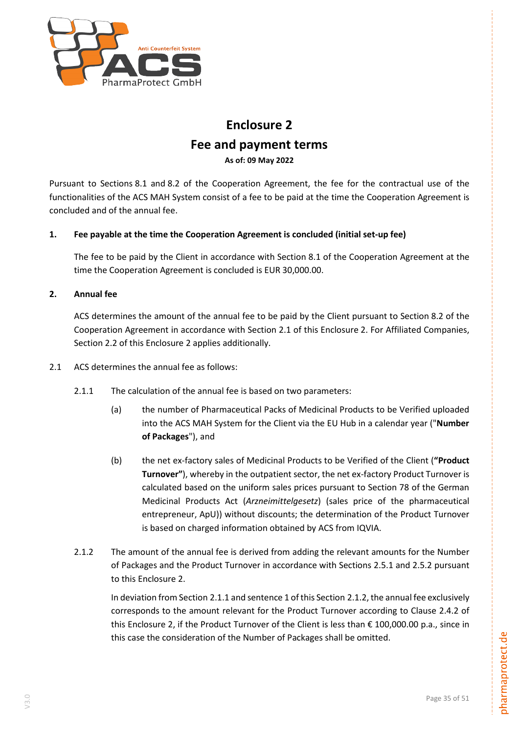

# **Enclosure 2**

# **Fee and payment terms**

**As of: 09 May 2022**

Pursuant to Sections [8.1](#page-14-1) and [8.2](#page-14-3) of the Cooperation Agreement, the fee for the contractual use of the functionalities of the ACS MAH System consist of a fee to be paid at the time the Cooperation Agreement is concluded and of the annual fee.

# **1. Fee payable at the time the Cooperation Agreement is concluded (initial set-up fee)**

The fee to be paid by the Client in accordance with Section [8.1](#page-14-1) of the Cooperation Agreement at the time the Cooperation Agreement is concluded is EUR 30,000.00.

# **2. Annual fee**

ACS determines the amount of the annual fee to be paid by the Client pursuant to Section [8.2](#page-14-3) of the Cooperation Agreement in accordance with Section 2.1 of this Enclosure 2. For Affiliated Companies, Section 2.2 of this Enclosure 2 applies additionally.

- <span id="page-34-0"></span>2.1 ACS determines the annual fee as follows:
	- 2.1.1 The calculation of the annual fee is based on two parameters:
		- (a) the number of Pharmaceutical Packs of Medicinal Products to be Verified uploaded into the ACS MAH System for the Client via the EU Hub in a calendar year ("**Number of Packages**"), and
		- (b) the net ex-factory sales of Medicinal Products to be Verified of the Client (**"Product Turnover"**), whereby in the outpatient sector, the net ex-factory Product Turnover is calculated based on the uniform sales prices pursuant to Section 78 of the German Medicinal Products Act (*Arzneimittelgesetz*) (sales price of the pharmaceutical entrepreneur, ApU)) without discounts; the determination of the Product Turnover is based on charged information obtained by ACS from IQVIA.
	- 2.1.2 The amount of the annual fee is derived from adding the relevant amounts for the Number of Packages and the Product Turnover in accordance with Sections 2.5.1 and 2.5.2 pursuant to this Enclosure 2.

In deviation from Section 2.1.1 and sentence 1 of this Section 2.1.2, the annual fee exclusively corresponds to the amount relevant for the Product Turnover according to Clause 2.4.2 of this Enclosure 2, if the Product Turnover of the Client is less than € 100,000.00 p.a., since in this case the consideration of the Number of Packages shall be omitted.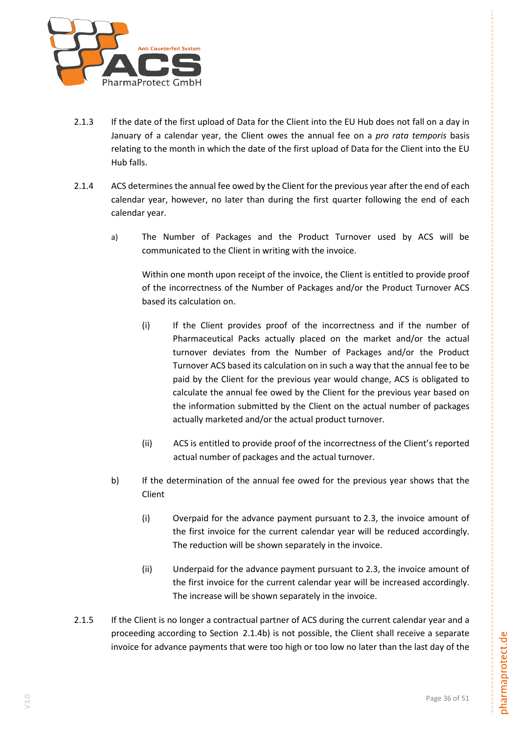

- 2.1.3 If the date of the first upload of Data for the Client into the EU Hub does not fall on a day in January of a calendar year, the Client owes the annual fee on a *pro rata temporis* basis relating to the month in which the date of the first upload of Data for the Client into the EU Hub falls.
- 2.1.4 ACS determines the annual fee owed by the Client for the previous year after the end of each calendar year, however, no later than during the first quarter following the end of each calendar year.
	- a) The Number of Packages and the Product Turnover used by ACS will be communicated to the Client in writing with the invoice.

Within one month upon receipt of the invoice, the Client is entitled to provide proof of the incorrectness of the Number of Packages and/or the Product Turnover ACS based its calculation on.

- (i) If the Client provides proof of the incorrectness and if the number of Pharmaceutical Packs actually placed on the market and/or the actual turnover deviates from the Number of Packages and/or the Product Turnover ACS based its calculation on in such a way that the annual fee to be paid by the Client for the previous year would change, ACS is obligated to calculate the annual fee owed by the Client for the previous year based on the information submitted by the Client on the actual number of packages actually marketed and/or the actual product turnover.
- (ii) ACS is entitled to provide proof of the incorrectness of the Client's reported actual number of packages and the actual turnover.
- <span id="page-35-0"></span>b) If the determination of the annual fee owed for the previous year shows that the Client
	- (i) Overpaid for the advance payment pursuant to [2.3,](#page-4-1) the invoice amount of the first invoice for the current calendar year will be reduced accordingly. The reduction will be shown separately in the invoice.
	- (ii) Underpaid for the advance payment pursuant to [2.3,](#page-4-1) the invoice amount of the first invoice for the current calendar year will be increased accordingly. The increase will be shown separately in the invoice.
- 2.1.5 If the Client is no longer a contractual partner of ACS during the current calendar year and a proceeding according to Section [2.1.4b\)](#page-35-0) is not possible, the Client shall receive a separate invoice for advance payments that were too high or too low no later than the last day of the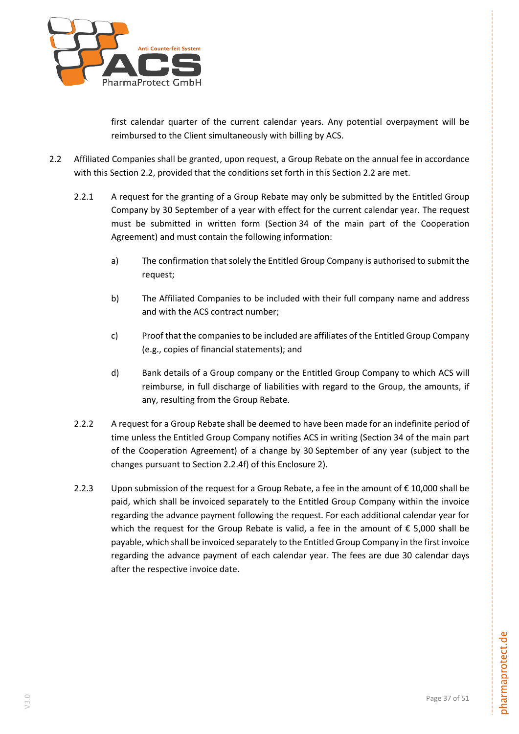

first calendar quarter of the current calendar years. Any potential overpayment will be reimbursed to the Client simultaneously with billing by ACS.

- 2.2 Affiliated Companies shall be granted, upon request, a Group Rebate on the annual fee in accordance with this Section 2.2, provided that the conditions set forth in this Section 2.2 are met.
	- 2.2.1 A request for the granting of a Group Rebate may only be submitted by the Entitled Group Company by 30 September of a year with effect for the current calendar year. The request must be submitted in written form (Section 34 of the main part of the Cooperation Agreement) and must contain the following information:
		- a) The confirmation that solely the Entitled Group Company is authorised to submit the request;
		- b) The Affiliated Companies to be included with their full company name and address and with the ACS contract number;
		- c) Proof that the companies to be included are affiliates of the Entitled Group Company (e.g., copies of financial statements); and
		- d) Bank details of a Group company or the Entitled Group Company to which ACS will reimburse, in full discharge of liabilities with regard to the Group, the amounts, if any, resulting from the Group Rebate.
	- 2.2.2 A request for a Group Rebate shall be deemed to have been made for an indefinite period of time unless the Entitled Group Company notifies ACS in writing (Section 34 of the main part of the Cooperation Agreement) of a change by 30 September of any year (subject to the changes pursuant to Section 2.2.4f) of this Enclosure 2).
	- 2.2.3 Upon submission of the request for a Group Rebate, a fee in the amount of  $\epsilon$  10,000 shall be paid, which shall be invoiced separately to the Entitled Group Company within the invoice regarding the advance payment following the request. For each additional calendar year for which the request for the Group Rebate is valid, a fee in the amount of  $\epsilon$  5,000 shall be payable, which shall be invoiced separately to the Entitled Group Company in the first invoice regarding the advance payment of each calendar year. The fees are due 30 calendar days after the respective invoice date.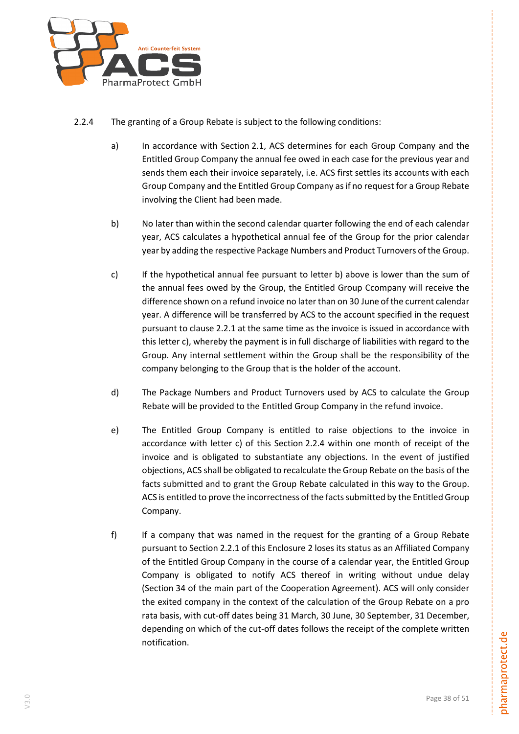

- 2.2.4 The granting of a Group Rebate is subject to the following conditions:
	- a) In accordance with Section 2.1, ACS determines for each Group Company and the Entitled Group Company the annual fee owed in each case for the previous year and sends them each their invoice separately, i.e. ACS first settles its accounts with each Group Company and the Entitled Group Company as if no request for a Group Rebate involving the Client had been made.
	- b) No later than within the second calendar quarter following the end of each calendar year, ACS calculates a hypothetical annual fee of the Group for the prior calendar year by adding the respective Package Numbers and Product Turnovers of the Group.
	- c) If the hypothetical annual fee pursuant to letter b) above is lower than the sum of the annual fees owed by the Group, the Entitled Group Ccompany will receive the difference shown on a refund invoice no later than on 30 June of the current calendar year. A difference will be transferred by ACS to the account specified in the request pursuant to clause 2.2.1 at the same time as the invoice is issued in accordance with this letter c), whereby the payment is in full discharge of liabilities with regard to the Group. Any internal settlement within the Group shall be the responsibility of the company belonging to the Group that is the holder of the account.
	- d) The Package Numbers and Product Turnovers used by ACS to calculate the Group Rebate will be provided to the Entitled Group Company in the refund invoice.
	- e) The Entitled Group Company is entitled to raise objections to the invoice in accordance with letter c) of this Section 2.2.4 within one month of receipt of the invoice and is obligated to substantiate any objections. In the event of justified objections, ACS shall be obligated to recalculate the Group Rebate on the basis of the facts submitted and to grant the Group Rebate calculated in this way to the Group. ACS is entitled to prove the incorrectness of the facts submitted by the Entitled Group Company.
	- f) If a company that was named in the request for the granting of a Group Rebate pursuant to Section 2.2.1 of this Enclosure 2 loses its status as an Affiliated Company of the Entitled Group Company in the course of a calendar year, the Entitled Group Company is obligated to notify ACS thereof in writing without undue delay (Section 34 of the main part of the Cooperation Agreement). ACS will only consider the exited company in the context of the calculation of the Group Rebate on a pro rata basis, with cut-off dates being 31 March, 30 June, 30 September, 31 December, depending on which of the cut-off dates follows the receipt of the complete written notification.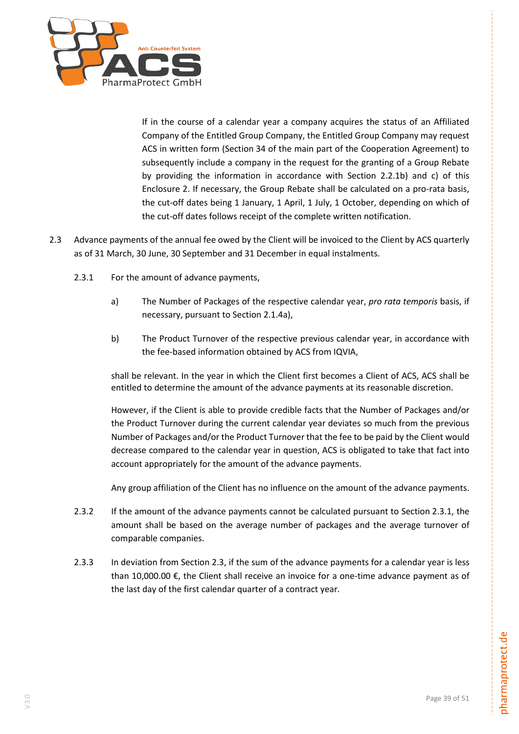

If in the course of a calendar year a company acquires the status of an Affiliated Company of the Entitled Group Company, the Entitled Group Company may request ACS in written form (Section 34 of the main part of the Cooperation Agreement) to subsequently include a company in the request for the granting of a Group Rebate by providing the information in accordance with Section 2.2.1b) and c) of this Enclosure 2. If necessary, the Group Rebate shall be calculated on a pro-rata basis, the cut-off dates being 1 January, 1 April, 1 July, 1 October, depending on which of the cut-off dates follows receipt of the complete written notification.

- <span id="page-38-1"></span><span id="page-38-0"></span>2.3 Advance payments of the annual fee owed by the Client will be invoiced to the Client by ACS quarterly as of 31 March, 30 June, 30 September and 31 December in equal instalments.
	- 2.3.1 For the amount of advance payments,
		- a) The Number of Packages of the respective calendar year, *pro rata temporis* basis, if necessary, pursuant to Section 2.1.4a),
		- b) The Product Turnover of the respective previous calendar year, in accordance with the fee-based information obtained by ACS from IQVIA,

shall be relevant. In the year in which the Client first becomes a Client of ACS, ACS shall be entitled to determine the amount of the advance payments at its reasonable discretion.

However, if the Client is able to provide credible facts that the Number of Packages and/or the Product Turnover during the current calendar year deviates so much from the previous Number of Packages and/or the Product Turnover that the fee to be paid by the Client would decrease compared to the calendar year in question, ACS is obligated to take that fact into account appropriately for the amount of the advance payments.

Any group affiliation of the Client has no influence on the amount of the advance payments.

- 2.3.2 If the amount of the advance payments cannot be calculated pursuant to Section [2.3.1,](#page-38-0) the amount shall be based on the average number of packages and the average turnover of comparable companies.
- 2.3.3 In deviation from Section [2.3,](#page-38-1) if the sum of the advance payments for a calendar year is less than 10,000.00 €, the Client shall receive an invoice for a one-time advance payment as of the last day of the first calendar quarter of a contract year.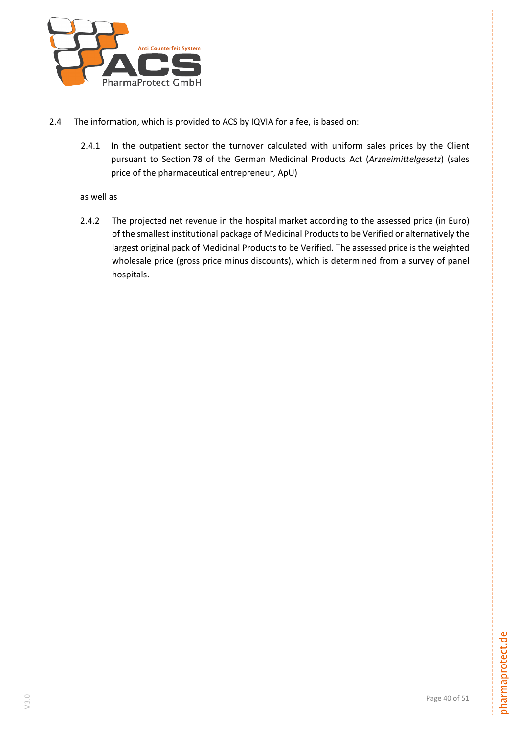

- 2.4 The information, which is provided to ACS by IQVIA for a fee, is based on:
	- 2.4.1 In the outpatient sector the turnover calculated with uniform sales prices by the Client pursuant to Section 78 of the German Medicinal Products Act (*Arzneimittelgesetz*) (sales price of the pharmaceutical entrepreneur, ApU)

# as well as

2.4.2 The projected net revenue in the hospital market according to the assessed price (in Euro) of the smallest institutional package of Medicinal Products to be Verified or alternatively the largest original pack of Medicinal Products to be Verified. The assessed price is the weighted wholesale price (gross price minus discounts), which is determined from a survey of panel hospitals.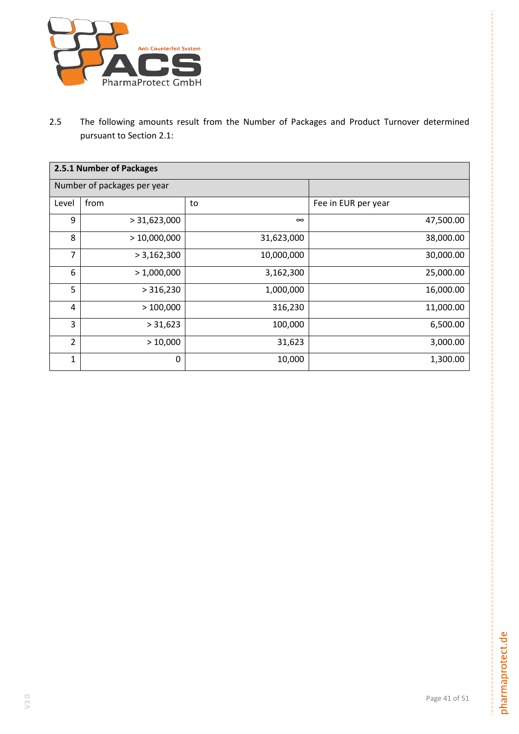

2.5 The following amounts result from the Number of Packages and Product Turnover determined pursuant to Section [2.1:](#page-34-0)

| 2.5.1 Number of Packages |                             |            |                     |
|--------------------------|-----------------------------|------------|---------------------|
|                          | Number of packages per year |            |                     |
| Level                    | from                        | to         | Fee in EUR per year |
| 9                        | > 31,623,000                | $\infty$   | 47,500.00           |
| 8                        | >10,000,000                 | 31,623,000 | 38,000.00           |
| 7                        | > 3,162,300                 | 10,000,000 | 30,000.00           |
| 6                        | > 1,000,000                 | 3,162,300  | 25,000.00           |
| 5                        | > 316,230                   | 1,000,000  | 16,000.00           |
| 4                        | >100,000                    | 316,230    | 11,000.00           |
| 3                        | > 31,623                    | 100,000    | 6,500.00            |
| $\overline{2}$           | >10,000                     | 31,623     | 3,000.00            |
| 1                        | 0                           | 10,000     | 1,300.00            |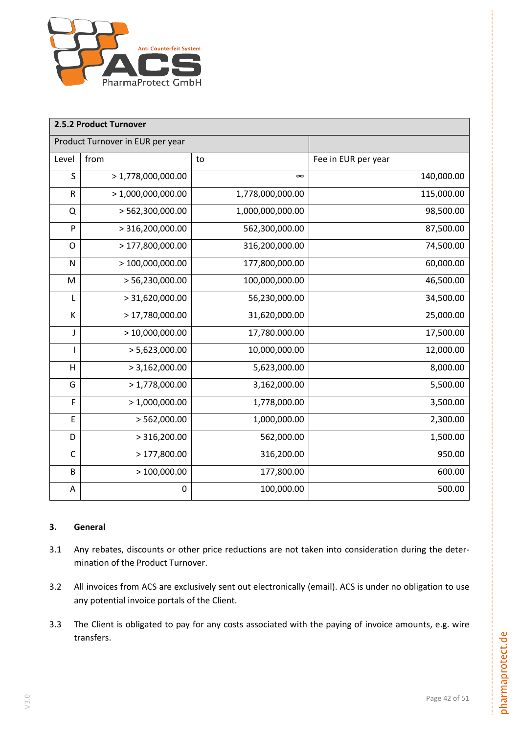

| 2.5.2 Product Turnover |                                  |                  |                     |
|------------------------|----------------------------------|------------------|---------------------|
|                        | Product Turnover in EUR per year |                  |                     |
| Level                  | from                             | to               | Fee in EUR per year |
| S                      | > 1,778,000,000.00               | $\infty$         | 140,000.00          |
| ${\sf R}$              | > 1,000,000,000.00               | 1,778,000,000.00 | 115,000.00          |
| Q                      | > 562,300,000.00                 | 1,000,000,000.00 | 98,500.00           |
| P                      | > 316,200,000.00                 | 562,300,000.00   | 87,500.00           |
| $\mathsf{O}$           | > 177,800,000.00                 | 316,200,000.00   | 74,500.00           |
| N                      | >100,000,000.00                  | 177,800,000.00   | 60,000.00           |
| M                      | > 56,230,000.00                  | 100,000,000.00   | 46,500.00           |
| L                      | > 31,620,000.00                  | 56,230,000.00    | 34,500.00           |
| К                      | > 17,780,000.00                  | 31,620,000.00    | 25,000.00           |
| J                      | >10,000,000.00                   | 17,780.000.00    | 17,500.00           |
|                        | > 5,623,000.00                   | 10,000,000.00    | 12,000.00           |
| H                      | > 3,162,000.00                   | 5,623,000.00     | 8,000.00            |
| G                      | > 1,778,000.00                   | 3,162,000.00     | 5,500.00            |
| F                      | > 1,000,000.00                   | 1,778,000.00     | 3,500.00            |
| E                      | > 562,000.00                     | 1,000,000.00     | 2,300.00            |
| D                      | > 316,200.00                     | 562,000.00       | 1,500.00            |
| C                      | >177,800.00                      | 316,200.00       | 950.00              |
| B                      | >100,000.00                      | 177,800.00       | 600.00              |
| Α                      | 0                                | 100,000.00       | 500.00              |

# **3. General**

- 3.1 Any rebates, discounts or other price reductions are not taken into consideration during the determination of the Product Turnover.
- 3.2 All invoices from ACS are exclusively sent out electronically (email). ACS is under no obligation to use any potential invoice portals of the Client.
- 3.3 The Client is obligated to pay for any costs associated with the paying of invoice amounts, e.g. wire transfers.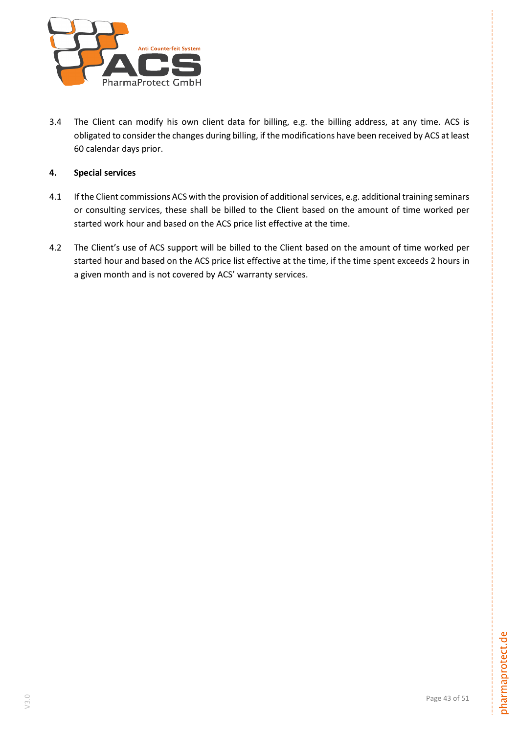

3.4 The Client can modify his own client data for billing, e.g. the billing address, at any time. ACS is obligated to consider the changes during billing, if the modifications have been received by ACS at least 60 calendar days prior.

# **4. Special services**

- 4.1 If the Client commissions ACS with the provision of additional services, e.g. additional training seminars or consulting services, these shall be billed to the Client based on the amount of time worked per started work hour and based on the ACS price list effective at the time.
- 4.2 The Client's use of ACS support will be billed to the Client based on the amount of time worked per started hour and based on the ACS price list effective at the time, if the time spent exceeds 2 hours in a given month and is not covered by ACS' warranty services.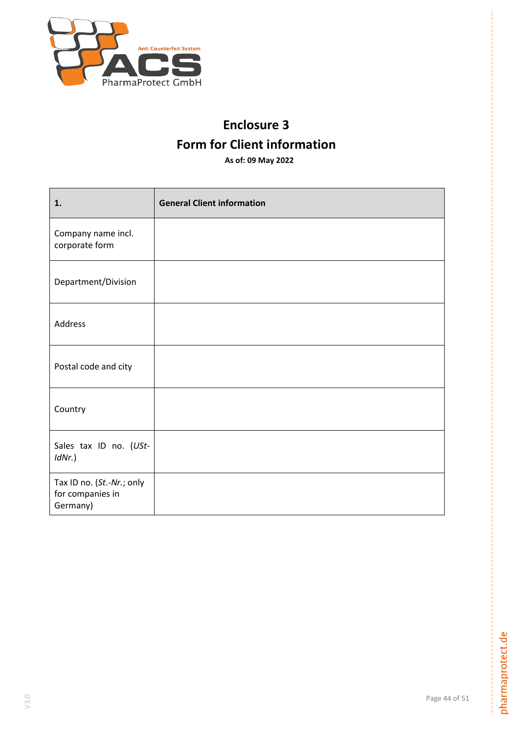

# **Enclosure 3 Form for Client information**

**As of: 09 May 2022**

| 1.                                                        | <b>General Client information</b> |
|-----------------------------------------------------------|-----------------------------------|
| Company name incl.<br>corporate form                      |                                   |
| Department/Division                                       |                                   |
| Address                                                   |                                   |
| Postal code and city                                      |                                   |
| Country                                                   |                                   |
| Sales tax ID no. (USt-<br>$IdNr.$ )                       |                                   |
| Tax ID no. (St.-Nr.; only<br>for companies in<br>Germany) |                                   |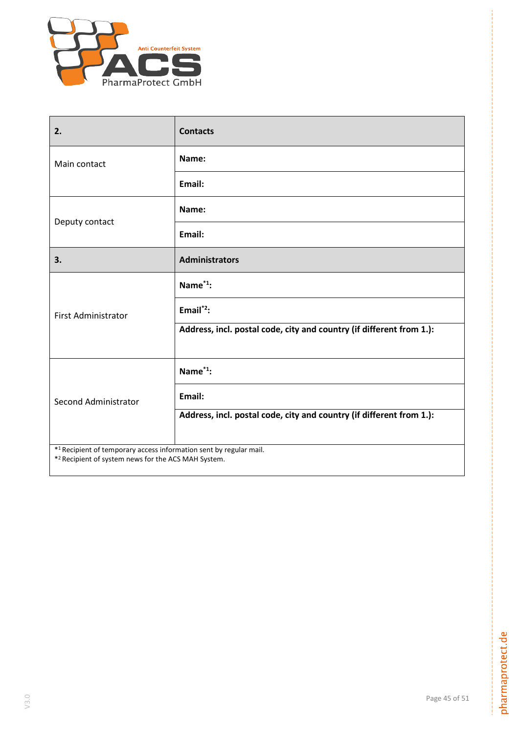

| 2.                                                                                                                        | <b>Contacts</b>                                                      |
|---------------------------------------------------------------------------------------------------------------------------|----------------------------------------------------------------------|
| Main contact                                                                                                              | Name:                                                                |
|                                                                                                                           | Email:                                                               |
| Deputy contact                                                                                                            | Name:                                                                |
|                                                                                                                           | Email:                                                               |
| 3.                                                                                                                        | <b>Administrators</b>                                                |
| <b>First Administrator</b>                                                                                                | Name <sup>*1</sup> :                                                 |
|                                                                                                                           | Email $^*$ ?:                                                        |
|                                                                                                                           | Address, incl. postal code, city and country (if different from 1.): |
|                                                                                                                           | Name <sup>*1</sup> :                                                 |
| <b>Second Administrator</b>                                                                                               | Email:                                                               |
|                                                                                                                           | Address, incl. postal code, city and country (if different from 1.): |
| *1 Recipient of temporary access information sent by regular mail.<br>*2 Recipient of system news for the ACS MAH System. |                                                                      |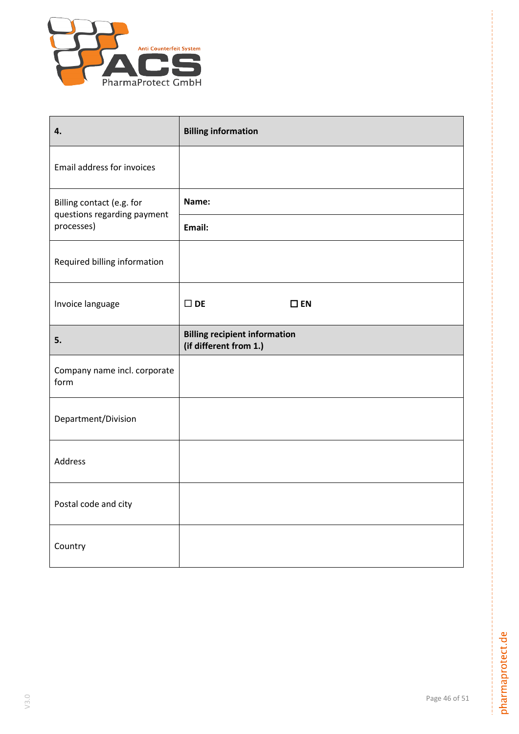

| 4.                                                       | <b>Billing information</b>                                     |
|----------------------------------------------------------|----------------------------------------------------------------|
| Email address for invoices                               |                                                                |
| Billing contact (e.g. for<br>questions regarding payment | Name:                                                          |
| processes)                                               | Email:                                                         |
| Required billing information                             |                                                                |
| Invoice language                                         | $\square$ DE<br>$\square$ EN                                   |
| 5.                                                       | <b>Billing recipient information</b><br>(if different from 1.) |
|                                                          |                                                                |
| Company name incl. corporate<br>form                     |                                                                |
| Department/Division                                      |                                                                |
| Address                                                  |                                                                |
| Postal code and city                                     |                                                                |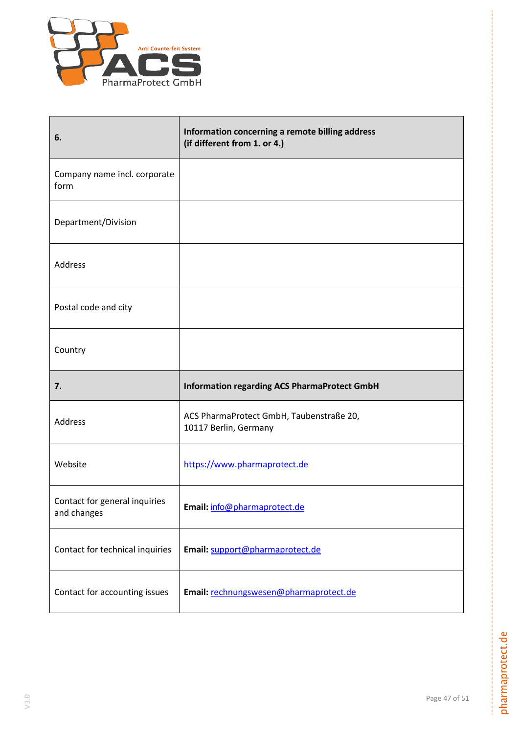

| 6.                                           | Information concerning a remote billing address<br>(if different from 1. or 4.) |
|----------------------------------------------|---------------------------------------------------------------------------------|
| Company name incl. corporate<br>form         |                                                                                 |
| Department/Division                          |                                                                                 |
| Address                                      |                                                                                 |
| Postal code and city                         |                                                                                 |
| Country                                      |                                                                                 |
|                                              |                                                                                 |
| 7.                                           | <b>Information regarding ACS PharmaProtect GmbH</b>                             |
| Address                                      | ACS PharmaProtect GmbH, Taubenstraße 20,<br>10117 Berlin, Germany               |
| Website                                      | https://www.pharmaprotect.de                                                    |
| Contact for general inquiries<br>and changes | Email: info@pharmaprotect.de                                                    |
| Contact for technical inquiries              | Email: support@pharmaprotect.de                                                 |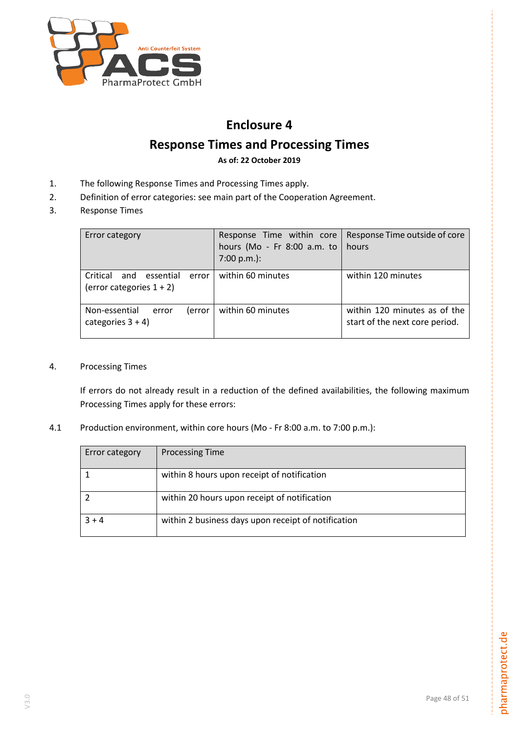

# **Enclosure 4**

# **Response Times and Processing Times**

**As of: 22 October 2019**

- 1. The following Response Times and Processing Times apply.
- 2. Definition of error categories: see main part of the Cooperation Agreement.
- 3. Response Times

| Error category                                                       | Response Time within core<br>hours (Mo - Fr 8:00 a.m. to<br>$7:00 p.m.$ : | Response Time outside of core<br>hours                         |
|----------------------------------------------------------------------|---------------------------------------------------------------------------|----------------------------------------------------------------|
| and<br>essential<br>Critical<br>error<br>(error categories $1 + 2$ ) | within 60 minutes                                                         | within 120 minutes                                             |
| Non-essential<br>(error<br>error<br>categories $3 + 4$ )             | within 60 minutes                                                         | within 120 minutes as of the<br>start of the next core period. |

4. Processing Times

If errors do not already result in a reduction of the defined availabilities, the following maximum Processing Times apply for these errors:

4.1 Production environment, within core hours (Mo - Fr 8:00 a.m. to 7:00 p.m.):

| Error category | <b>Processing Time</b>                              |
|----------------|-----------------------------------------------------|
|                | within 8 hours upon receipt of notification         |
|                | within 20 hours upon receipt of notification        |
| $3 + 4$        | within 2 business days upon receipt of notification |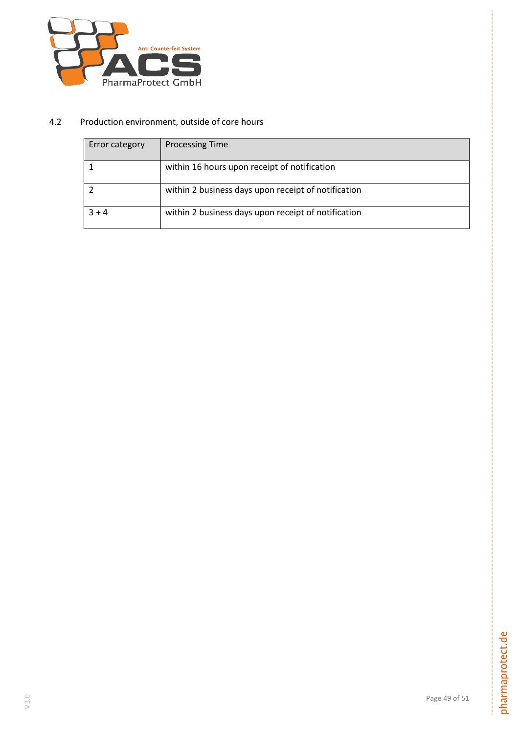

# 4.2 Production environment, outside of core hours

| Error category | <b>Processing Time</b>                              |
|----------------|-----------------------------------------------------|
|                | within 16 hours upon receipt of notification        |
|                | within 2 business days upon receipt of notification |
| $3 + 4$        | within 2 business days upon receipt of notification |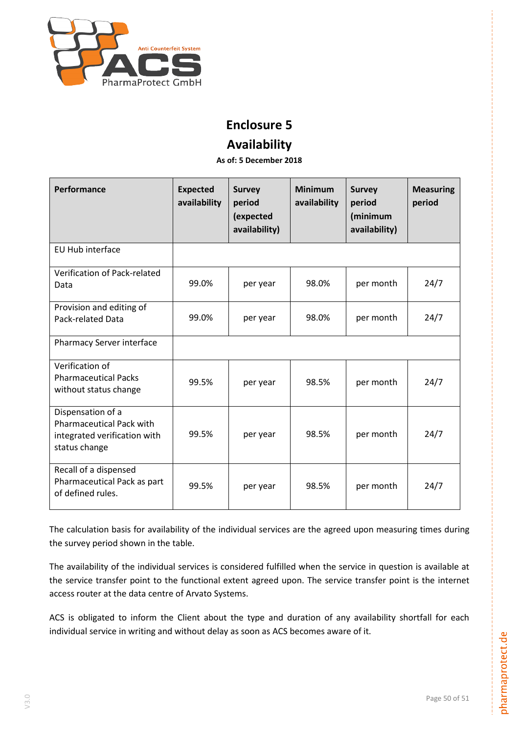

# **Enclosure 5**

# **Availability**

**As of: 5 December 2018** 

| Performance                                                                                           | <b>Expected</b><br>availability | <b>Survey</b><br>period<br>(expected<br>availability) | <b>Minimum</b><br>availability | <b>Survey</b><br>period<br>(minimum<br>availability) | <b>Measuring</b><br>period |
|-------------------------------------------------------------------------------------------------------|---------------------------------|-------------------------------------------------------|--------------------------------|------------------------------------------------------|----------------------------|
| <b>EU Hub interface</b>                                                                               |                                 |                                                       |                                |                                                      |                            |
| Verification of Pack-related<br>Data                                                                  | 99.0%                           | per year                                              | 98.0%                          | per month                                            | 24/7                       |
| Provision and editing of<br><b>Pack-related Data</b>                                                  | 99.0%                           | per year                                              | 98.0%                          | per month                                            | 24/7                       |
| Pharmacy Server interface                                                                             |                                 |                                                       |                                |                                                      |                            |
| Verification of<br><b>Pharmaceutical Packs</b><br>without status change                               | 99.5%                           | per year                                              | 98.5%                          | per month                                            | 24/7                       |
| Dispensation of a<br><b>Pharmaceutical Pack with</b><br>integrated verification with<br>status change | 99.5%                           | per year                                              | 98.5%                          | per month                                            | 24/7                       |
| Recall of a dispensed<br>Pharmaceutical Pack as part<br>of defined rules.                             | 99.5%                           | per year                                              | 98.5%                          | per month                                            | 24/7                       |

The calculation basis for availability of the individual services are the agreed upon measuring times during the survey period shown in the table.

The availability of the individual services is considered fulfilled when the service in question is available at the service transfer point to the functional extent agreed upon. The service transfer point is the internet access router at the data centre of Arvato Systems.

ACS is obligated to inform the Client about the type and duration of any availability shortfall for each individual service in writing and without delay as soon as ACS becomes aware of it.